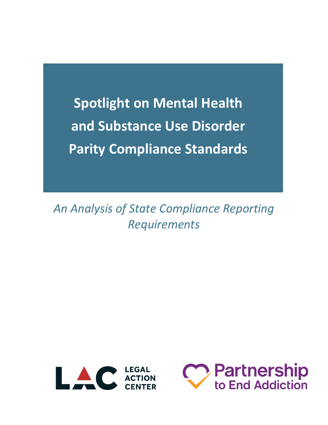**Spotlight on Mental Health and Substance Use Disorder Parity Compliance Standards** 

*An Analysis of State Compliance Reporting Requirements*



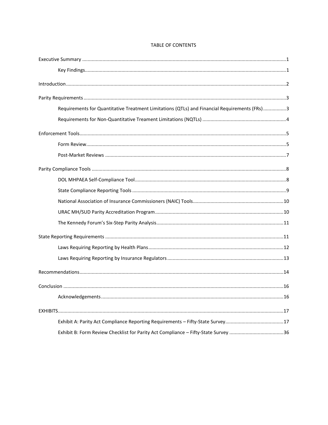| Requirements for Quantitative Treatment Limitations (QTLs) and Financial Requirements (FRs)3 |  |
|----------------------------------------------------------------------------------------------|--|
|                                                                                              |  |
|                                                                                              |  |
|                                                                                              |  |
|                                                                                              |  |
|                                                                                              |  |
|                                                                                              |  |
|                                                                                              |  |
|                                                                                              |  |
|                                                                                              |  |
|                                                                                              |  |
|                                                                                              |  |
|                                                                                              |  |
|                                                                                              |  |
|                                                                                              |  |
|                                                                                              |  |
|                                                                                              |  |
|                                                                                              |  |
|                                                                                              |  |
| Exhibit B: Form Review Checklist for Parity Act Compliance - Fifty-State Survey 36           |  |

#### TABLE OF CONTENTS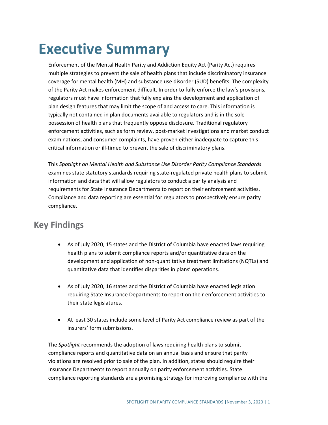# **Executive Summary**

Enforcement of the Mental Health Parity and Addiction Equity Act (Parity Act) requires multiple strategies to prevent the sale of health plans that include discriminatory insurance coverage for mental health (MH) and substance use disorder (SUD) benefits. The complexity of the Parity Act makes enforcement difficult. In order to fully enforce the law's provisions, regulators must have information that fully explains the development and application of plan design features that may limit the scope of and access to care. This information is typically not contained in plan documents available to regulators and is in the sole possession of health plans that frequently oppose disclosure. Traditional regulatory enforcement activities, such as form review, post-market investigations and market conduct examinations, and consumer complaints, have proven either inadequate to capture this critical information or ill-timed to prevent the sale of discriminatory plans.

This *Spotlight on Mental Health and Substance Use Disorder Parity Compliance Standards*  examines state statutory standards requiring state-regulated private health plans to submit information and data that will allow regulators to conduct a parity analysis and requirements for State Insurance Departments to report on their enforcement activities. Compliance and data reporting are essential for regulators to prospectively ensure parity compliance.

### **Key Findings**

- As of July 2020, 15 states and the District of Columbia have enacted laws requiring health plans to submit compliance reports and/or quantitative data on the development and application of non-quantitative treatment limitations (NQTLs) and quantitative data that identifies disparities in plans' operations.
- As of July 2020, 16 states and the District of Columbia have enacted legislation requiring State Insurance Departments to report on their enforcement activities to their state legislatures.
- At least 30 states include some level of Parity Act compliance review as part of the insurers' form submissions.

The *Spotlight* recommends the adoption of laws requiring health plans to submit compliance reports and quantitative data on an annual basis and ensure that parity violations are resolved prior to sale of the plan. In addition, states should require their Insurance Departments to report annually on parity enforcement activities. State compliance reporting standards are a promising strategy for improving compliance with the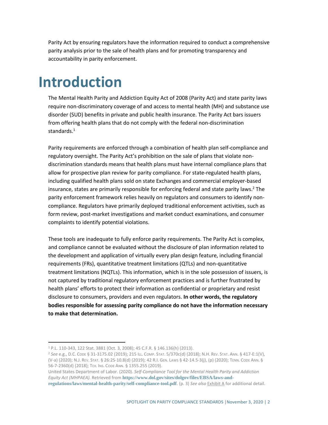Parity Act by ensuring regulators have the information required to conduct a comprehensive parity analysis prior to the sale of health plans and for promoting transparency and accountability in parity enforcement.

## **Introduction**

The Mental Health Parity and Addiction Equity Act of 2008 (Parity Act) and state parity laws require non-discriminatory coverage of and access to mental health (MH) and substance use disorder (SUD) benefits in private and public health insurance. The Parity Act bars issuers from offering health plans that do not comply with the federal non-discrimination standards.<sup>1</sup>

Parity requirements are enforced through a combination of health plan self-compliance and regulatory oversight. The Parity Act's prohibition on the sale of plans that violate nondiscrimination standards means that health plans must have internal compliance plans that allow for prospective plan review for parity compliance. For state-regulated health plans, including qualified health plans sold on state Exchanges and commercial employer-based insurance, states are primarily responsible for enforcing federal and state parity laws. <sup>2</sup> The parity enforcement framework relies heavily on regulators and consumers to identify noncompliance. Regulators have primarily deployed traditional enforcement activities, such as form review, post-market investigations and market conduct examinations, and consumer complaints to identify potential violations.

These tools are inadequate to fully enforce parity requirements. The Parity Act is complex, and compliance cannot be evaluated without the disclosure of plan information related to the development and application of virtually every plan design feature, including financial requirements (FRs), quantitative treatment limitations (QTLs) and non-quantitative treatment limitations (NQTLs). This information, which is in the sole possession of issuers, is not captured by traditional regulatory enforcement practices and is further frustrated by health plans' efforts to protect their information as confidential or proprietary and resist disclosure to consumers, providers and even regulators. **In other words, the regulatory bodies responsible for assessing parity compliance do not have the information necessary to make that determination.** 

<sup>2</sup> *See* e.g., D.C. CODE § 31-3175.02 (2019); 215 ILL. COMP. STAT. 5/370c(d) (2018); N.H. REV. STAT. ANN. § 417-E:1(V), (V-a) (2020); N.J. REV. STAT. § 26:2S-10.8(d) (2019); 42 R.I. GEN. LAWS § 42-14.5-3(j), (p) (2020); TENN. CODE ANN. § 56-7-2360(d) (2018); TEX. INS. CODE ANN. § 1355.255 (2019).

United States Department of Labor. (2020). *Self-Compliance Tool for the Mental Health Parity and Addiction Equity Act (MHPAEA).* Retrieved from **[https://www.dol.gov/sites/dolgov/files/EBSA/laws-and-](https://www.dol.gov/sites/dolgov/files/EBSA/laws-and-regulations/laws/mental-health-parity/self-compliance-tool.pdf)**

<sup>1</sup> P.L. 110-343, 122 Stat. 3881 (Oct. 3, 2008); 45 C.F.R. § 146.136(h) (2013).

**[regulations/laws/mental-health-parity/self-compliance-tool.pdf](https://www.dol.gov/sites/dolgov/files/EBSA/laws-and-regulations/laws/mental-health-parity/self-compliance-tool.pdf)**. (p. 3) *See also* Exhibit A for additional detail.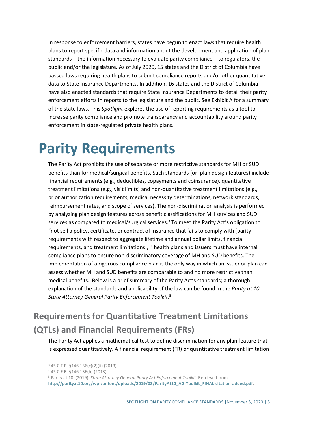In response to enforcement barriers, states have begun to enact laws that require health plans to report specific data and information about the development and application of plan standards – the information necessary to evaluate parity compliance – to regulators, the public and/or the legislature. As of July 2020, 15 states and the District of Columbia have passed laws requiring health plans to submit compliance reports and/or other quantitative data to State Insurance Departments. In addition, 16 states and the District of Columbia have also enacted standards that require State Insurance Departments to detail their parity enforcement efforts in reports to the legislature and the public. See Exhibit A for a summary of the state laws. This *Spotlight* explores the use of reporting requirements as a tool to increase parity compliance and promote transparency and accountability around parity enforcement in state-regulated private health plans.

## **Parity Requirements**

The Parity Act prohibits the use of separate or more restrictive standards for MH or SUD benefits than for medical/surgical benefits. Such standards (or, plan design features) include financial requirements (e.g., deductibles, copayments and coinsurance), quantitative treatment limitations (e.g., visit limits) and non-quantitative treatment limitations (e.g., prior authorization requirements, medical necessity determinations, network standards, reimbursement rates, and scope of services). The non-discrimination analysis is performed by analyzing plan design features across benefit classifications for MH services and SUD services as compared to medical/surgical services. <sup>3</sup> To meet the Parity Act's obligation to "not sell a policy, certificate, or contract of insurance that fails to comply with [parity requirements with respect to aggregate lifetime and annual dollar limits, financial requirements, and treatment limitations]," <sup>4</sup> health plans and issuers must have internal compliance plans to ensure non-discriminatory coverage of MH and SUD benefits. The implementation of a rigorous compliance plan is the only way in which an issuer or plan can assess whether MH and SUD benefits are comparable to and no more restrictive than medical benefits. Below is a brief summary of the Parity Act's standards; a thorough explanation of the standards and applicability of the law can be found in the *Parity at 10 State Attorney General Parity Enforcement Toolkit*. 5

## **Requirements for Quantitative Treatment Limitations (QTLs) and Financial Requirements (FRs)**

The Parity Act applies a mathematical test to define discrimination for any plan feature that is expressed quantitatively. A financial requirement (FR) or quantitative treatment limitation

<sup>3</sup> 45 C.F.R. §146.136(c)(2)(ii) (2013).

<sup>4</sup> 45 C.F.R. §146.136(h) (2013).

<sup>5</sup> Parity at 10. (2019). *State Attorney General Parity Act Enforcement Toolkit*. Retrieved from **[http://parityat10.org/wp-content/uploads/2019/03/ParityAt10\\_AG-Toolkit\\_FINAL-citation-added.pdf](http://parityat10.org/wp-content/uploads/2019/03/ParityAt10_AG-Toolkit_FINAL-citation-added.pdf)**.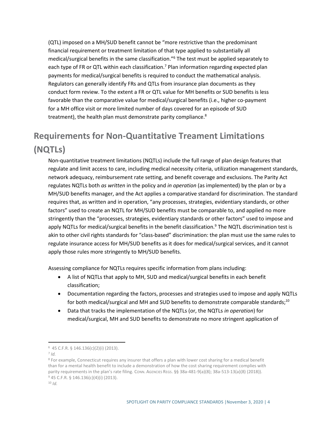(QTL) imposed on a MH/SUD benefit cannot be "more restrictive than the predominant financial requirement or treatment limitation of that type applied to substantially all medical/surgical benefits in the same classification."<sup>6</sup> The test must be applied separately to each type of FR or QTL within each classification.<sup>7</sup> Plan information regarding expected plan payments for medical/surgical benefits is required to conduct the mathematical analysis. Regulators can generally identify FRs and QTLs from insurance plan documents as they conduct form review. To the extent a FR or QTL value for MH benefits or SUD benefits is less favorable than the comparative value for medical/surgical benefits (i.e., higher co-payment for a MH office visit or more limited number of days covered for an episode of SUD treatment), the health plan must demonstrate parity compliance.<sup>8</sup>

## **Requirements for Non-Quantitative Treament Limitations (NQTLs)**

Non-quantitative treatment limitations (NQTLs) include the full range of plan design features that regulate and limit access to care, including medical necessity criteria, utilization management standards, network adequacy, reimbursement rate setting, and benefit coverage and exclusions. The Parity Act regulates NQTLs both *as written* in the policy and *in operation* (as implemented) by the plan or by a MH/SUD benefits manager, and the Act applies a comparative standard for discrimination. The standard requires that, as written and in operation, "any processes, strategies, evidentiary standards, or other factors" used to create an NQTL for MH/SUD benefits must be comparable to, and applied no more stringently than the "processes, strategies, evidentiary standards or other factors" used to impose and apply NQTLs for medical/surgical benefits in the benefit classification.<sup>9</sup> The NQTL discrimination test is akin to other civil rights standards for "class-based" discrimination: the plan must use the same rules to regulate insurance access for MH/SUD benefits as it does for medical/surgical services, and it cannot apply those rules more stringently to MH/SUD benefits.

Assessing compliance for NQTLs requires specific information from plans including:

- A list of NQTLs that apply to MH, SUD and medical/surgical benefits in each benefit classification;
- Documentation regarding the factors, processes and strategies used to impose and apply NQTLs for both medical/surgical and MH and SUD benefits to demonstrate comparable standards;<sup>10</sup>
- Data that tracks the implementation of the NQTLs (or, the NQTLs *in operation*) for medical/surgical, MH and SUD benefits to demonstrate no more stringent application of

<sup>6</sup> 45 C.F.R. § 146.136(c)(2)(i) (2013).

<sup>7</sup> *Id.*

<sup>&</sup>lt;sup>8</sup> For example, Connecticut requires any insurer that offers a plan with lower cost sharing for a medical benefit than for a mental health benefit to include a demonstration of how the cost sharing requirement complies with parity requirements in the plan's rate filing. CONN. AGENCIES REGS. §§ 38a-481-9(a)(8); 38a-513-13(a)(8) (2018)). <sup>9</sup> 45 C.F.R. § 146.136(c)(4)(i) (2013).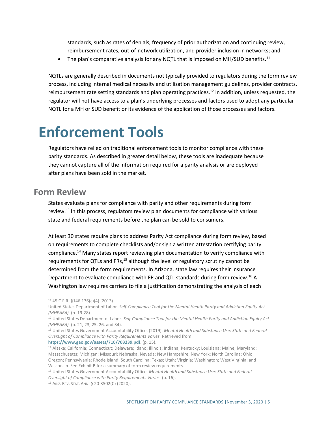standards, such as rates of denials, frequency of prior authorization and continuing review, reimbursement rates, out-of-network utilization, and provider inclusion in networks; and

• The plan's comparative analysis for any NQTL that is imposed on MH/SUD benefits.<sup>11</sup>

NQTLs are generally described in documents not typically provided to regulators during the form review process, including internal medical necessity and utilization management guidelines, provider contracts, reimbursement rate setting standards and plan operating practices.<sup>12</sup> In addition, unless requested, the regulator will not have access to a plan's underlying processes and factors used to adopt any particular NQTL for a MH or SUD benefit or its evidence of the application of those processes and factors.

## **Enforcement Tools**

Regulators have relied on traditional enforcement tools to monitor compliance with these parity standards. As described in greater detail below, these tools are inadequate because they cannot capture all of the information required for a parity analysis or are deployed after plans have been sold in the market.

#### **Form Review**

States evaluate plans for compliance with parity and other requirements during form review.<sup>13</sup> In this process, regulators review plan documents for compliance with various state and federal requirements before the plan can be sold to consumers.

At least 30 states require plans to address Parity Act compliance during form review, based on requirements to complete checklists and/or sign a written attestation certifying parity compliance.<sup>14</sup> Many states report reviewing plan documentation to verify compliance with requirements for QTLs and FRs,<sup>15</sup> although the level of regulatory scrutiny cannot be determined from the form requirements. In Arizona, state law requires their Insurance Department to evaluate compliance with FR and QTL standards during form review.<sup>16</sup> A Washington law requires carriers to file a justification demonstrating the analysis of each

**<https://www.gao.gov/assets/710/703239.pdf>**. (p. 15).

<sup>11</sup> 45 C.F.R. §146.136(c)(4) (2013).

United States Department of Labor. *Self-Compliance Tool for the Mental Health Parity and Addiction Equity Act (MHPAEA).* (p. 19-28).

<sup>12</sup> United States Department of Labor. *Self-Compliance Tool for the Mental Health Parity and Addiction Equity Act (MHPAEA).* (p. 21, 23, 25, 26, and 34).

<sup>13</sup> United States Government Accountability Office. (2019). *Mental Health and Substance Use: State and Federal Oversight of Compliance with Parity Requirements Varies.* Retrieved from

<sup>14</sup> Alaska; California; Connecticut; Delaware; Idaho; Illinois; Indiana; Kentucky; Louisiana; Maine; Maryland; Massachusetts; Michigan; Missouri; Nebraska, Nevada; New Hampshire; New York; North Carolina; Ohio; Oregon; Pennsylvania; Rhode Island; South Carolina; Texas; Utah; Virginia; Washington; West Virginia; and Wisconsin. See **Exhibit B** for a summary of form review requirements.

<sup>15</sup> United States Government Accountability Office. *Mental Health and Substance Use: State and Federal Oversight of Compliance with Parity Requirements Varies.* (p. 16).

<sup>16</sup> ARIZ. REV. STAT. ANN. § 20-3502(C) (2020).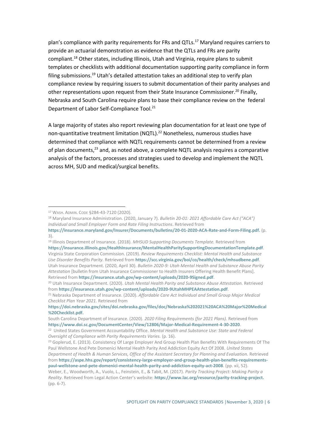plan's compliance with parity requirements for FRs and QTLs.<sup>17</sup> Maryland requires carriers to provide an actuarial demonstration as evidence that the QTLs and FRs are parity compliant.<sup>18</sup> Other states, including Illinois, Utah and Virginia, require plans to submit templates or checklists with additional documentation supporting parity compliance in form filing submissions.<sup>19</sup> Utah's detailed attestation takes an additional step to verify plan compliance review by requiring issuers to submit documentation of their parity analyses and other representations upon request from their State Insurance Commissioner.<sup>20</sup> Finally, Nebraska and South Carolina require plans to base their compliance review on the federal Department of Labor Self-Compliance Tool.<sup>21</sup>

A large majority of states also report reviewing plan documentation for at least one type of non-quantitative treatment limitation (NQTL). <sup>22</sup> Nonetheless, numerous studies have determined that compliance with NQTL requirements cannot be determined from a review of plan documents,<sup>23</sup> and, as noted above, a complete NQTL analysis requires a comparative analysis of the factors, processes and strategies used to develop and implement the NQTL across MH, SUD and medical/surgical benefits.

<sup>19</sup> Illinois Department of Insurance. (2018). *MHSUD Supporting Documents Template.* Retrieved from

**<https://insurance.illinois.gov/HealthInsurance/MentalHealthParitySupportingDocumentationTemplate.pdf>**. Virginia State Corporation Commission. (2019). *Review Requirements Checklist: Mental Health and Substance Use Disorder Benefits Parity.* Retrieved from **<https://scc.virginia.gov/boi/co/health/check/mhsudbene.pdf>**. Utah Insurance Department. (2020, April 30). *Bulletin 2020-9: Utah Mental Health and Substance Abuse Parity Attestation* [bulletin from Utah Insurance Commissioner to Health Insurers Offering Health Benefit Plans]. Retrieved from **<https://insurance.utah.gov/wp-content/uploads/2020-9Signed.pdf>**.

<sup>17</sup> WASH. ADMIN. CODE §284-43-7120 (2020).

<sup>18</sup> Maryland Insurance Administration. (2020, January 7). *Bulletin 20-01: 2021 Affordable Care Act ("ACA") Individual and Small Employer Form and Rate Filing Instructions*. Retrieved from

**[https://insurance.maryland.gov/Insurer/Documents/bulletins/20-01-2020-ACA-Rate-and-Form-Filing.pdf.](https://insurance.maryland.gov/Insurer/Documents/bulletins/20-01-2020-ACA-Rate-and-Form-Filing.pdf)** (p. 3).

<sup>20</sup> Utah Insurance Department. (2020). *Utah Mental Health Parity and Substance Abuse Attestation.* Retrieved from **<https://insurance.utah.gov/wp-content/uploads/2020-9UtahMHPEAAttestation.pdf>**.

<sup>21</sup> Nebraska Department of Insurance. (2020). *Affordable Care Act Individual and Small Group Major Medical Checklist Plan Year 2021.* Retrieved from

**[https://doi.nebraska.gov/sites/doi.nebraska.gov/files/doc/Nebraska%202021%20ACA%20Major%20Medical](https://doi.nebraska.gov/sites/doi.nebraska.gov/files/doc/Nebraska%202021%20ACA%20Major%20Medical%20Checklist.pdf) [%20Checklist.pdf.](https://doi.nebraska.gov/sites/doi.nebraska.gov/files/doc/Nebraska%202021%20ACA%20Major%20Medical%20Checklist.pdf)**

South Carolina Department of Insurance. (2020). *2020 Filing Requirements (for 2021 Plans).* Retrieved from **<https://www.doi.sc.gov/DocumentCenter/View/12806/Major-Medical-Requirement-4-30-2020>**.

<sup>&</sup>lt;sup>22</sup> United States Government Accountability Office. *Mental Health and Substance Use: State and Federal Oversight of Compliance with Parity Requirements Varies.* (p. 16).

<sup>&</sup>lt;sup>23</sup> Goplerud, E. (2013). Consistency Of Large Employer And Group Health Plan Benefits With Requirements Of The Paul Wellstone And Pete Domenici Mental Health Parity And Addiction Equity Act Of 2008. *United States Department of Health & Human Services, Office of the Assistant Secretary for Planning and Evaluation.* Retrieved from **[https://aspe.hhs.gov/report/consistency-large-employer-and-group-health-plan-benefits-requirements](https://aspe.hhs.gov/report/consistency-large-employer-and-group-health-plan-benefits-requirements-paul-wellstone-and-pete-domenici-mental-health-parity-and-addiction-equity-act-2008)[paul-wellstone-and-pete-domenici-mental-health-parity-and-addiction-equity-act-2008](https://aspe.hhs.gov/report/consistency-large-employer-and-group-health-plan-benefits-requirements-paul-wellstone-and-pete-domenici-mental-health-parity-and-addiction-equity-act-2008)**. (pp. xii, 52).

Weber, E., Woodworth, A., Vuolo, L., Feinstein, E., & Tabit, M. (2017). *Parity Tracking Project: Making Parity a Reality*. Retrieved from Legal Action Center's website: **[https://www.lac.org/resource/parity-tracking-project.](https://www.lac.org/resource/parity-tracking-project)** (pp. 6-7).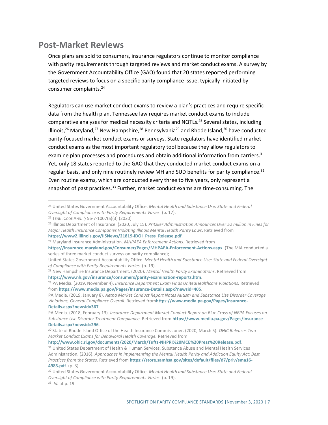#### **Post-Market Reviews**

Once plans are sold to consumers, insurance regulators continue to monitor compliance with parity requirements through targeted reviews and market conduct exams. A survey by the Government Accountability Office (GAO) found that 20 states reported performing targeted reviews to focus on a specific parity compliance issue, typically initiated by consumer complaints.<sup>24</sup>

Regulators can use market conduct exams to review a plan's practices and require specific data from the health plan. Tennessee law requires market conduct exams to include comparative analyses for medical necessity criteria and NQTLs.<sup>25</sup> Several states, including Illinois,<sup>26</sup> Maryland,<sup>27</sup> New Hampshire,<sup>28</sup> Pennsylvania<sup>29</sup> and Rhode Island,<sup>30</sup> have conducted parity-focused market conduct exams or surveys. State regulators have identified market conduct exams as the most important regulatory tool because they allow regulators to examine plan processes and procedures and obtain additional information from carriers.<sup>31</sup> Yet, only 18 states reported to the GAO that they conducted market conduct exams on a regular basis, and only nine routinely review MH and SUD benefits for parity compliance.<sup>32</sup> Even routine exams, which are conducted every three to five years, only represent a snapshot of past practices.<sup>33</sup> Further, market conduct exams are time-consuming. The

**[https://www2.illinois.gov/IISNews/21819-IDOI\\_Press\\_Release.pdf](https://www2.illinois.gov/IISNews/21819-IDOI_Press_Release.pdf)**.

**<http://www.ohic.ri.gov/documents/2020/March/Tufts-NHPRI%20MCE%20Press%20Release.pdf>**.

<sup>24</sup> United States Government Accountability Office. *Mental Health and Substance Use: State and Federal Oversight of Compliance with Parity Requirements Varies.* (p. 17).

<sup>25</sup> TENN. CODE ANN. § 56-7-1007(a)(3) (2020).

<sup>26</sup> Illinois Department of Insurance. (2020, July 15). *Pritzker Administration Announces Over \$2 million in Fines for Major Health Insurance Companies Violating Illinois Mental Health Parity Laws*. Retrieved from

<sup>27</sup> Maryland Insurance Administration. *MHPAEA Enforcement Actions*. Retrieved from

**<https://insurance.maryland.gov/Consumer/Pages/MHPAEA-Enforcement-Actions.aspx>**. (The MIA conducted a series of three market conduct surveys on parity compliance);

United States Government Accountability Office. *Mental Health and Substance Use: State and Federal Oversight of Compliance with Parity Requirements Varies.* (p. 19).

<sup>28</sup> New Hampshire Insurance Department. (2020). *Mental Health Parity Examinations*. Retrieved from **<https://www.nh.gov/insurance/consumers/parity-examination-reports.htm>**.

<sup>29</sup> PA Media. (2019, November 4). *Insurance Department Exam Finds UnitedHealthcare Violations.* Retrieved from **<https://www.media.pa.gov/Pages/Insurance-Details.aspx?newsid=405>**.

PA Media. (2019, January 8). *Aetna Market Conduct Report Notes Autism and Substance Use Disorder Coverage Violations, General Compliance Overall.* Retrieved from**[https://www.media.pa.gov/Pages/Insurance-](https://www.media.pa.gov/Pages/Insurance-Details.aspx?newsid=367)[Details.aspx?newsid=367](https://www.media.pa.gov/Pages/Insurance-Details.aspx?newsid=367)**.

PA Media. (2018, February 13). *Insurance Department Market Conduct Report on Blue Cross of NEPA Focuses on Substance Use Disorder Treatment Compliance.* Retrieved from **[https://www.media.pa.gov/Pages/Insurance-](https://www.media.pa.gov/Pages/Insurance-Details.aspx?newsid=296)[Details.aspx?newsid=296](https://www.media.pa.gov/Pages/Insurance-Details.aspx?newsid=296)**.

<sup>30</sup> State of Rhode Island Office of the Health Insurance Commissioner. (2020, March 5). *OHIC Releases Two Market Conduct Exams for Behavioral Health Coverage.* Retrieved from

<sup>&</sup>lt;sup>31</sup> United States Department of Health & Human Services, Substance Abuse and Mental Health Services Administration. (2016). *Approaches in Implementing the Mental Health Parity and Addiction Equity Act: Best Practices from the States.* Retrieved from **[https://store.samhsa.gov/sites/default/files/d7/priv/sma16-](https://store.samhsa.gov/sites/default/files/d7/priv/sma16-4983.pdf) [4983.pdf](https://store.samhsa.gov/sites/default/files/d7/priv/sma16-4983.pdf)**. (p. 3).

<sup>32</sup> United States Government Accountability Office. *Mental Health and Substance Use: State and Federal Oversight of Compliance with Parity Requirements Varies.* (p. 19). 33 *Id.* at p. 19.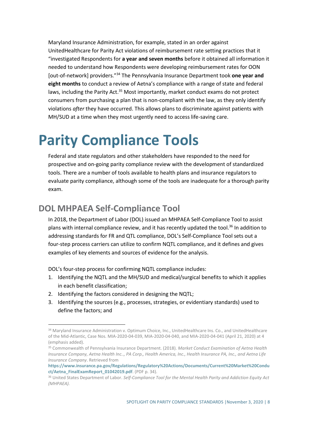Maryland Insurance Administration, for example, stated in an order against UnitedHealthcare for Parity Act violations of reimbursement rate setting practices that it "investigated Respondents for **a year and seven months** before it obtained all information it needed to understand how Respondents were developing reimbursement rates for OON [out-of-network] providers."<sup>34</sup> The Pennsylvania Insurance Department took **one year and eight months** to conduct a review of Aetna's compliance with a range of state and federal laws, including the Parity Act.<sup>35</sup> Most importantly, market conduct exams do not protect consumers from purchasing a plan that is non-compliant with the law, as they only identify violations *after* they have occurred. This allows plans to discriminate against patients with MH/SUD at a time when they most urgently need to access life-saving care.

## **Parity Compliance Tools**

Federal and state regulators and other stakeholders have responded to the need for prospective and on-going parity compliance review with the development of standardized tools. There are a number of tools available to health plans and insurance regulators to evaluate parity compliance, although some of the tools are inadequate for a thorough parity exam.

#### **DOL MHPAEA Self-Compliance Tool**

In 2018, the Department of Labor (DOL) issued an MHPAEA Self-Compliance Tool to assist plans with internal compliance review, and it has recently updated the tool. <sup>36</sup> In addition to addressing standards for FR and QTL compliance, DOL's Self-Compliance Tool sets out a four-step process carriers can utilize to confirm NQTL compliance, and it defines and gives examples of key elements and sources of evidence for the analysis.

DOL's four-step process for confirming NQTL compliance includes:

- 1. Identifying the NQTL and the MH/SUD and medical/surgical benefits to which it applies in each benefit classification;
- 2. Identifying the factors considered in designing the NQTL;
- 3. Identifying the sources (e.g., processes, strategies, or evidentiary standards) used to define the factors; and

<sup>&</sup>lt;sup>34</sup> Maryland Insurance Administration v. Optimum Choice, Inc., UnitedHealthcare Ins. Co., and UnitedHealthcare of the Mid-Atlantic, Case Nos. MIA-2020-04-039, MIA-2020-04-040, and MIA-2020-04-041 (April 21, 2020) at 4 (emphasis added).

<sup>35</sup> Commonwealth of Pennsylvania Insurance Department. (2018). *Market Conduct Examination of Aetna Health Insurance Company, Aetna Health Inc.., PA Corp., Health America, Inc., Health Insurance PA, Inc., and Aetna Life Insurance Company*. Retrieved from

**[https://www.insurance.pa.gov/Regulations/Regulatory%20Actions/Documents/Current%20Market%20Condu](https://www.insurance.pa.gov/Regulations/Regulatory%20Actions/Documents/Current%20Market%20Conduct/Aetna_FinalExamReport_01042019.pdf) [ct/Aetna\\_FinalExamReport\\_01042019.pdf](https://www.insurance.pa.gov/Regulations/Regulatory%20Actions/Documents/Current%20Market%20Conduct/Aetna_FinalExamReport_01042019.pdf)**. (PDF p. 34).

<sup>36</sup> United States Department of Labor. *Self-Compliance Tool for the Mental Health Parity and Addiction Equity Act (MHPAEA).*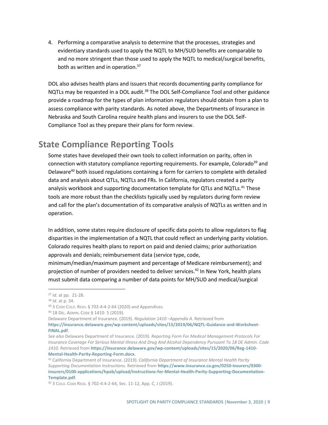4. Performing a comparative analysis to determine that the processes, strategies and evidentiary standards used to apply the NQTL to MH/SUD benefits are comparable to and no more stringent than those used to apply the NQTL to medical/surgical benefits, both as written and in operation.<sup>37</sup>

DOL also advises health plans and issuers that records documenting parity compliance for NQTLs may be requested in a DOL audit.<sup>38</sup> The DOL Self-Compliance Tool and other guidance provide a roadmap for the types of plan information regulators should obtain from a plan to assess compliance with parity standards. As noted above, the Departments of Insurance in Nebraska and South Carolina require health plans and insurers to use the DOL Self-Compliance Tool as they prepare their plans for form review.

#### **State Compliance Reporting Tools**

Some states have developed their own tools to collect information on parity, often in connection with statutory compliance reporting requirements. For example, Colorado<sup>39</sup> and Delaware<sup>40</sup> both issued regulations containing a form for carriers to complete with detailed data and analysis about QTLs, NQTLs and FRs. In California, regulators created a parity analysis workbook and supporting documentation template for QTLs and NQTLs.<sup>41</sup> These tools are more robust than the checklists typically used by regulators during form review and call for the plan's documentation of its comparative analysis of NQTLs as written and in operation.

In addition, some states require disclosure of specific data points to allow regulators to flag disparities in the implementation of a NQTL that could reflect an underlying parity violation. Colorado requires health plans to report on paid and denied claims; prior authorization approvals and denials; reimbursement data (service type, code,

minimum/median/maximum payment and percentage of Medicare reimbursement); and projection of number of providers needed to deliver services. <sup>42</sup> In New York, health plans must submit data comparing a number of data points for MH/SUD and medical/surgical

<sup>37</sup> *Id.* at pp. 21-28.

<sup>38</sup> *Id.* at p. 34.

<sup>39</sup> 3 CODE COLO. REGS. § 702-4:4-2-64 (2020) and Appendices.

<sup>40</sup> 18 DEL. ADMIN. CODE § 1410- 5 (2019).

Delaware Department of Insurance. (2019). *Regulation 1410 –Appendix A.* Retrieved from

**[https://insurance.delaware.gov/wp-content/uploads/sites/15/2019/06/NQTL-Guidance-and-Worksheet-](https://insurance.delaware.gov/wp-content/uploads/sites/15/2019/06/NQTL-Guidance-and-Worksheet-FINAL.pdf)[FINAL.pdf](https://insurance.delaware.gov/wp-content/uploads/sites/15/2019/06/NQTL-Guidance-and-Worksheet-FINAL.pdf)**.

*See also* Delaware Department of Insurance. (2019). *Reporting Form For Medical Management Protocols For Insurance Coverage For Serious Mental Illness And Drug And Alcohol Dependency Pursuant To 18 DE Admin. Code 1410.* Retrieved from **[https://insurance.delaware.gov/wp-content/uploads/sites/15/2020/06/Reg-1410-](https://insurance.delaware.gov/wp-content/uploads/sites/15/2020/06/Reg-1410-Mental-Health-Parity-Reporting-Form.docx) [Mental-Health-Parity-Reporting-Form.docx](https://insurance.delaware.gov/wp-content/uploads/sites/15/2020/06/Reg-1410-Mental-Health-Parity-Reporting-Form.docx)**.

<sup>41</sup> California Department of Insurance. (2019). *California Department of Insurance Mental Health Parity Supporting Documentation Instructions.* Retrieved from **[https://www.insurance.ca.gov/0250-insurers/0300](https://www.insurance.ca.gov/0250-insurers/0300-insurers/0100-applications/hpab/upload/Instructions-for-Mental-Health-Parity-Supporting-Documentation-Template.pdf) [insurers/0100-applications/hpab/upload/Instructions-for-Mental-Health-Parity-Supporting-Documentation-](https://www.insurance.ca.gov/0250-insurers/0300-insurers/0100-applications/hpab/upload/Instructions-for-Mental-Health-Parity-Supporting-Documentation-Template.pdf)[Template.pdf](https://www.insurance.ca.gov/0250-insurers/0300-insurers/0100-applications/hpab/upload/Instructions-for-Mental-Health-Parity-Supporting-Documentation-Template.pdf)**.

<sup>42</sup> 3 COLO. CODE REGS. § 702-4:4-2-64, Sec. 11-12, App. C, J (2019).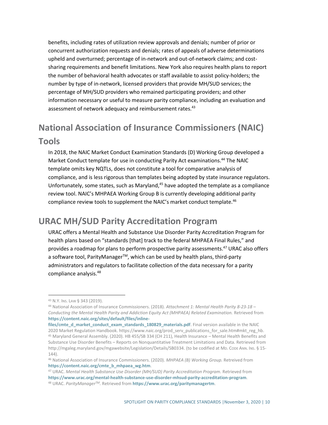benefits, including rates of utilization review approvals and denials; number of prior or concurrent authorization requests and denials; rates of appeals of adverse determinations upheld and overturned; percentage of in-network and out-of-network claims; and costsharing requirements and benefit limitations. New York also requires health plans to report the number of behavioral health advocates or staff available to assist policy-holders; the number by type of in-network, licensed providers that provide MH/SUD services; the percentage of MH/SUD providers who remained participating providers; and other information necessary or useful to measure parity compliance, including an evaluation and assessment of network adequacy and reimbursement rates.<sup>43</sup>

## **National Association of Insurance Commissioners (NAIC) Tools**

In 2018, the NAIC Market Conduct Examination Standards (D) Working Group developed a Market Conduct template for use in conducting Parity Act examinations.<sup>44</sup> The NAIC template omits key NQTLs, does not constitute a tool for comparative analysis of compliance, and is less rigorous than templates being adopted by state insurance regulators. Unfortunately, some states, such as Maryland, $45$  have adopted the template as a compliance review tool. NAIC's MHPAEA Working Group B is currently developing additional parity compliance review tools to supplement the NAIC's market conduct template. $46$ 

### **URAC MH/SUD Parity Accreditation Program**

URAC offers a Mental Health and Substance Use Disorder Parity Accreditation Program for health plans based on "standards [that] track to the federal MHPAEA Final Rules," and provides a roadmap for plans to perform prospective parity assessments.<sup>47</sup> URAC also offers a software tool, ParityManager™, which can be used by health plans, third-party administrators and regulators to facilitate collection of the data necessary for a parity compliance analysis.<sup>48</sup>

<sup>43</sup> N.Y. INS. LAW § 343 (2019).

<sup>44</sup> National Association of Insurance Commissioners. (2018). *Attachment 1: Mental Health Parity 8-23-18 – Conducting the Mental Health Parity and Addiction Equity Act (MHPAEA) Related Examination.* Retrieved from **[https://content.naic.org/sites/default/files/inline-](https://content.naic.org/sites/default/files/inline-files/cmte_d_market_conduct_exam_standards_180829_materials.pdf)**

files/cmte d market conduct exam standards 180829 materials.pdf. Final version available in the NAIC 2020 Market Regulation Handbook. https://www.naic.org/prod\_serv\_publications\_for\_sale.htm#mkt\_reg\_hb. <sup>45</sup> Maryland General Assembly. (2020). HB 455/SB 334 (CH 211), Health Insurance – Mental Health Benefits and Substance Use Disorder Benefits – Reports on Nonquantitative Treatment Limitations and Data. Retrieved from http://mgaleg.maryland.gov/mgawebsite/Legislation/Details/SB0334. (to be codified at MD. CODE ANN. INS. § 15- 144).

<sup>46</sup> National Association of Insurance Commissioners. (2020). *MHPAEA (B) Working Group.* Retreived from **[https://content.naic.org/cmte\\_b\\_mhpaea\\_wg.htm](https://content.naic.org/cmte_b_mhpaea_wg.htm)**.

<sup>47</sup> URAC. *Mental Health Substance Use Disorder (MH/SUD) Parity Accreditation Program.* Retrieved from **<https://www.urac.org/mental-health-substance-use-disorder-mhsud-parity-accreditation-program>**. <sup>48</sup> URAC. *ParityManagerTM.* Retrieved from **<https://www.urac.org/paritymanagertm>**.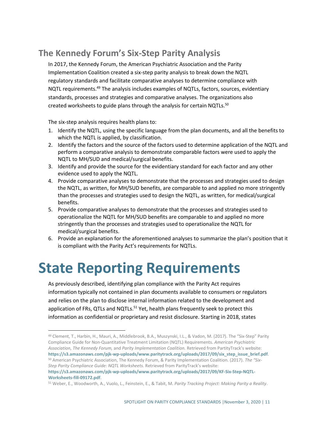### **The Kennedy Forum's Six-Step Parity Analysis**

In 2017, the Kennedy Forum, the American Psychiatric Association and the Parity Implementation Coalition created a six-step parity analysis to break down the NQTL regulatory standards and facilitate comparative analyses to determine compliance with NQTL requirements.<sup>49</sup> The analysis includes examples of NQTLs, factors, sources, evidentiary standards, processes and strategies and comparative analyses. The organizations also created worksheets to guide plans through the analysis for certain NQTLs.<sup>50</sup>

The six-step analysis requires health plans to:

- 1. Identify the NQTL, using the specific language from the plan documents, and all the benefits to which the NQTL is applied, by classification.
- 2. Identify the factors and the source of the factors used to determine application of the NQTL and perform a comparative analysis to demonstrate comparable factors were used to apply the NQTL to MH/SUD and medical/surgical benefits.
- 3. Identify and provide the source for the evidentiary standard for each factor and any other evidence used to apply the NQTL.
- 4. Provide comparative analyses to demonstrate that the processes and strategies used to design the NQTL, as written, for MH/SUD benefits, are comparable to and applied no more stringently than the processes and strategies used to design the NQTL, as written, for medical/surgical benefits.
- 5. Provide comparative analyses to demonstrate that the processes and strategies used to operationalize the NQTL for MH/SUD benefits are comparable to and applied no more stringently than the processes and strategies used to operationalize the NQTL for medical/surgical benefits.
- 6. Provide an explanation for the aforementioned analyses to summarize the plan's position that it is compliant with the Parity Act's requirements for NQTLs.

# **State Reporting Requirements**

As previously described, identifying plan compliance with the Parity Act requires information typically not contained in plan documents available to consumers or regulators and relies on the plan to disclose internal information related to the development and application of FRs, QTLs and NQTLs.<sup>51</sup> Yet, health plans frequently seek to protect this information as confidential or proprietary and resist disclosure. Starting in 2018, states

<sup>49</sup> Clement, T., Harbin, H., Mauri, A., Middlebrook, B.A., Muszynski, I.L., & Vadon, M. (2017). The "Six-Step" Parity Compliance Guide for Non-Quantitative Treatment Limitation (NQTL) Requirements. *American Psychiatric Association, The Kennedy Forum,* and *Parity Implementation Coalition.* Retrieved from PartityTrack's website: **[https://s3.amazonaws.com/pjk-wp-uploads/www.paritytrack.org/uploads/2017/09/six\\_step\\_issue\\_brief.pdf](https://s3.amazonaws.com/pjk-wp-uploads/www.paritytrack.org/uploads/2017/09/six_step_issue_brief.pdf)**. <sup>50</sup> American Psychiatric Association, The Kennedy Forum, & Parity Implementation Coalition. (2017). *The "Six-Step Parity Compliance Guide: NQTL Worksheets.* Retrieved from ParityTrack's website:

**[https://s3.amazonaws.com/pjk-wp-uploads/www.paritytrack.org/uploads/2017/09/KF-Six-Step-NQTL-](https://s3.amazonaws.com/pjk-wp-uploads/www.paritytrack.org/uploads/2017/09/KF-Six-Step-NQTL-Worksheets-fill-09172.pdf)[Worksheets-fill-09172.pdf](https://s3.amazonaws.com/pjk-wp-uploads/www.paritytrack.org/uploads/2017/09/KF-Six-Step-NQTL-Worksheets-fill-09172.pdf)**.

<sup>51</sup> Weber, E., Woodworth, A., Vuolo, L., Feinstein, E., & Tabit, M. *Parity Tracking Project: Making Parity a Reality*.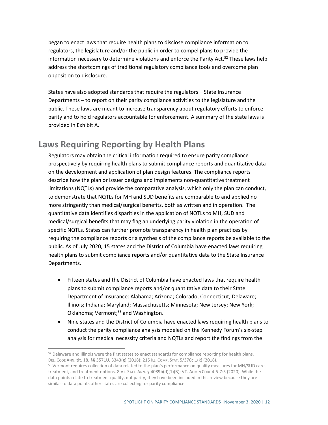began to enact laws that require health plans to disclose compliance information to regulators, the legislature and/or the public in order to compel plans to provide the information necessary to determine violations and enforce the Parity Act.<sup>52</sup> These laws help address the shortcomings of traditional regulatory compliance tools and overcome plan opposition to disclosure.

States have also adopted standards that require the regulators – State Insurance Departments – to report on their parity compliance activities to the legislature and the public. These laws are meant to increase transparency about regulatory efforts to enforce parity and to hold regulators accountable for enforcement. A summary of the state laws is provided in Exhibit A.

#### **Laws Requiring Reporting by Health Plans**

Regulators may obtain the critical information required to ensure parity compliance prospectively by requiring health plans to submit compliance reports and quantitative data on the development and application of plan design features. The compliance reports describe how the plan or issuer designs and implements non-quantitative treatment limitations (NQTLs) and provide the comparative analysis, which only the plan can conduct, to demonstrate that NQTLs for MH and SUD benefits are comparable to and applied no more stringently than medical/surgical benefits, both as written and in operation. The quantitative data identifies disparities in the application of NQTLs to MH, SUD and medical/surgical benefits that may flag an underlying parity violation in the operation of specific NQTLs. States can further promote transparency in health plan practices by requiring the compliance reports or a synthesis of the compliance reports be available to the public. As of July 2020, 15 states and the District of Columbia have enacted laws requiring health plans to submit compliance reports and/or quantitative data to the State Insurance Departments.

- Fifteen states and the District of Columbia have enacted laws that require health plans to submit compliance reports and/or quantitative data to their State Department of Insurance: Alabama; Arizona; Colorado; Connecticut; Delaware; Illinois; Indiana; Maryland; Massachusetts; Minnesota; New Jersey; New York; Oklahoma; Vermont;<sup>53</sup> and Washington.
- Nine states and the District of Columbia have enacted laws requiring health plans to conduct the parity compliance analysis modeled on the Kennedy Forum's six-step analysis for medical necessity criteria and NQTLs and report the findings from the

<sup>52</sup> Delaware and Illinois were the first states to enact standards for compliance reporting for health plans. DEL. CODE ANN. tit. 18, §§ 3571U, 3343(g) (2018); 215 ILL. COMP. STAT. 5/370c.1(k) (2018).

<sup>&</sup>lt;sup>53</sup> Vermont requires collection of data related to the plan's performance on quality measures for MH/SUD care, treatment, and treatment options. 8 VT. STAT. ANN. § 4089b(d)(1)(B); VT. ADMIN CODE 4-5-7:5 (2020). While the data points relate to treatment quality, not parity, they have been included in this review because they are similar to data points other states are collecting for parity compliance.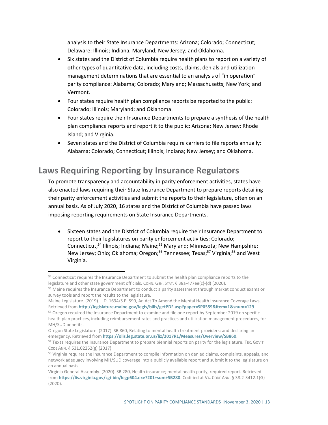analysis to their State Insurance Departments: Arizona; Colorado; Connecticut; Delaware; Illinois; Indiana; Maryland; New Jersey; and Oklahoma.

- Six states and the District of Columbia require health plans to report on a variety of other types of quantitative data, including costs, claims, denials and utilization management determinations that are essential to an analysis of "in operation" parity compliance: Alabama; Colorado; Maryland; Massachusetts; New York; and Vermont.
- Four states require health plan compliance reports be reported to the public: Colorado; Illinois; Maryland; and Oklahoma.
- Four states require their Insurance Departments to prepare a synthesis of the health plan compliance reports and report it to the public: Arizona; New Jersey; Rhode Island; and Virginia.
- Seven states and the District of Columbia require carriers to file reports annually: Alabama; Colorado; Connecticut; Illinois; Indiana; New Jersey; and Oklahoma.

### **Laws Requiring Reporting by Insurance Regulators**

To promote transparency and accountability in parity enforcement activities, states have also enacted laws requiring their State Insurance Department to prepare reports detailing their parity enforcement activities and submit the reports to their legislature, often on an annual basis. As of July 2020, 16 states and the District of Columbia have passed laws imposing reporting requirements on State Insurance Departments.

• Sixteen states and the District of Columbia require their Insurance Department to report to their legislatures on parity enforcement activities: Colorado; Connecticut;<sup>54</sup> Illinois; Indiana; Maine;<sup>55</sup> Maryland; Minnesota; New Hampshire; New Jersey; Ohio; Oklahoma; Oregon;<sup>56</sup> Tennessee; Texas;<sup>57</sup> Virginia;<sup>58</sup> and West Virginia.

<sup>&</sup>lt;sup>54</sup> Connecticut requires the Insurance Department to submit the health plan compliance reports to the legislature and other state government officials. CONN. GEN. STAT. § 38a-477ee(c)-(d) (2020).

<sup>&</sup>lt;sup>55</sup> Maine requires the Insurance Department to conduct a parity assessment through market conduct exams or survey tools and report the results to the legislature.

Maine Legislature. (2019). L.D. 1694/S.P. 599, An Act To Amend the Mental Health Insurance Coverage Laws. Retrieved from **<http://legislature.maine.gov/legis/bills/getPDF.asp?paper=SP0559&item=1&snum=129>**.

<sup>&</sup>lt;sup>56</sup> Oregon required the Insurance Department to examine and file one report by September 2019 on specific health plan practices, including reimbursement rates and practices and utilization management procedures, for MH/SUD benefits.

Oregon State Legislature. (2017). SB 860, Relating to mental health treatment providers; and declaring an emergency. Retrieved from **<https://olis.leg.state.or.us/liz/2017R1/Measures/Overview/SB860>**.

 $57$  Texas requires the Insurance Department to prepare biennial reports on parity for the legislature. Tex. Gov't CODE ANN. § 531.02252(g) (2017).

<sup>&</sup>lt;sup>58</sup> Virginia requires the Insurance Department to compile information on denied claims, complaints, appeals, and network adequacy involving MH/SUD coverage into a publicly available report and submit it to the legislature on an annual basis.

Virginia General Assembly. (2020). SB 280, Health insurance; mental health parity, required report. Retrieved from **<https://lis.virginia.gov/cgi-bin/legp604.exe?201+sum+SB280>**. Codified at VA. CODE ANN. § 38.2-3412.1(G) (2020).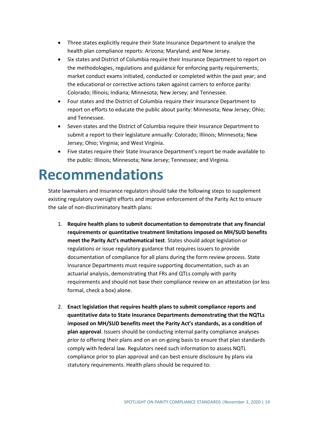- Three states explicitly require their State Insurance Department to analyze the health plan compliance reports: Arizona; Maryland; and New Jersey.
- Six states and District of Columbia require their Insurance Department to report on the methodologies, regulations and guidance for enforcing parity requirements; market conduct exams initiated, conducted or completed within the past year; and the educational or corrective actions taken against carriers to enforce parity: Colorado; Illinois; Indiana; Minnesota; New Jersey; and Tennessee.
- Four states and the District of Columbia require their Insurance Department to report on efforts to educate the public about parity: Minnesota; New Jersey; Ohio; and Tennessee.
- Seven states and the District of Columbia require their Insurance Department to submit a report to their legislature annually: Colorado; Illinois; Minnesota; New Jersey; Ohio; Virginia; and West Virginia.
- Five states require their State Insurance Department's report be made available to the public: Illinois; Minnesota; New Jersey; Tennessee; and Virginia.

## **Recommendations**

State lawmakers and insurance regulators should take the following steps to supplement existing regulatory oversight efforts and improve enforcement of the Parity Act to ensure the sale of non-discriminatory health plans:

- 1. **Require health plans to submit documentation to demonstrate that any financial requirements or quantitative treatment limitations imposed on MH/SUD benefits meet the Parity Act's mathematical test**. States should adopt legislation or regulations or issue regulatory guidance that requires issuers to provide documentation of compliance for all plans during the form review process. State Insurance Departments must require supporting documentation, such as an actuarial analysis, demonstrating that FRs and QTLs comply with parity requirements and should not base their compliance review on an attestation (or less formal, check a box) alone.
- 2. **Enact legislation that requires health plans to submit compliance reports and quantitative data to State Insurance Departments demonstrating that the NQTLs imposed on MH/SUD benefits meet the Parity Act's standards, as a condition of plan approval**. Issuers should be conducting internal parity compliance analyses *prior to* offering their plans and on an on-going basis to ensure that plan standards comply with federal law. Regulators need such information to assess NQTL compliance prior to plan approval and can best ensure disclosure by plans via statutory requirements. Health plans should be required to: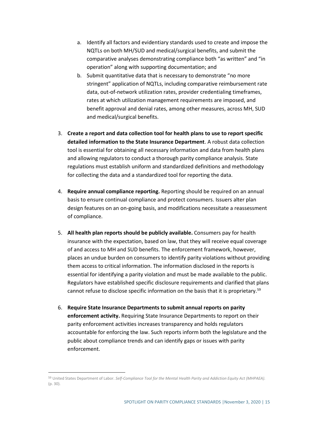- a. Identify all factors and evidentiary standards used to create and impose the NQTLs on both MH/SUD and medical/surgical benefits, and submit the comparative analyses demonstrating compliance both "as written" and "in operation" along with supporting documentation; and
- b. Submit quantitative data that is necessary to demonstrate "no more stringent" application of NQTLs, including comparative reimbursement rate data, out-of-network utilization rates, provider credentialing timeframes, rates at which utilization management requirements are imposed, and benefit approval and denial rates, among other measures, across MH, SUD and medical/surgical benefits.
- 3. **Create a report and data collection tool for health plans to use to report specific detailed information to the State Insurance Department**. A robust data collection tool is essential for obtaining all necessary information and data from health plans and allowing regulators to conduct a thorough parity compliance analysis. State regulations must establish uniform and standardized definitions and methodology for collecting the data and a standardized tool for reporting the data.
- 4. **Require annual compliance reporting.** Reporting should be required on an annual basis to ensure continual compliance and protect consumers. Issuers alter plan design features on an on-going basis, and modifications necessitate a reassessment of compliance.
- 5. **All health plan reports should be publicly available.** Consumers pay for health insurance with the expectation, based on law, that they will receive equal coverage of and access to MH and SUD benefits. The enforcement framework, however, places an undue burden on consumers to identify parity violations without providing them access to critical information. The information disclosed in the reports is essential for identifying a parity violation and must be made available to the public. Regulators have established specific disclosure requirements and clarified that plans cannot refuse to disclose specific information on the basis that it is proprietary.<sup>59</sup>
- 6. **Require State Insurance Departments to submit annual reports on parity enforcement activity.** Requiring State Insurance Departments to report on their parity enforcement activities increases transparency and holds regulators accountable for enforcing the law. Such reports inform both the legislature and the public about compliance trends and can identify gaps or issues with parity enforcement.

<sup>59</sup> United States Department of Labor. *Self-Compliance Tool for the Mental Health Parity and Addiction Equity Act (MHPAEA).*  (p. 30).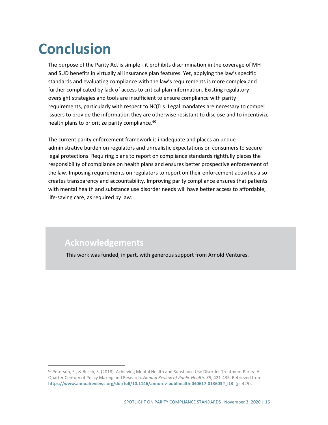# **Conclusion**

The purpose of the Parity Act is simple - it prohibits discrimination in the coverage of MH and SUD benefits in virtually all insurance plan features. Yet, applying the law's specific standards and evaluating compliance with the law's requirements is more complex and further complicated by lack of access to critical plan information. Existing regulatory oversight strategies and tools are insufficient to ensure compliance with parity requirements, particularly with respect to NQTLs. Legal mandates are necessary to compel issuers to provide the information they are otherwise resistant to disclose and to incentivize health plans to prioritize parity compliance.<sup>60</sup>

The current parity enforcement framework is inadequate and places an undue administrative burden on regulators and unrealistic expectations on consumers to secure legal protections. Requiring plans to report on compliance standards rightfully places the responsibility of compliance on health plans and ensures better prospective enforcement of the law. Imposing requirements on regulators to report on their enforcement activities also creates transparency and accountability. Improving parity compliance ensures that patients with mental health and substance use disorder needs will have better access to affordable, life-saving care, as required by law.

#### **Acknowledgements**

This work was funded, in part, with generous support from Arnold Ventures.

<sup>60</sup> Peterson, E., & Busch, S. (2018). Achieving Mental Health and Substance Use Disorder Treatment Parity: A Quarter Century of Policy Making and Research. *Annual Review of Public Health, 39*, 421-435. Retrieved from **[https://www.annualreviews.org/doi/full/10.1146/annurev-publhealth-040617-013603#\\_i13](https://www.annualreviews.org/doi/full/10.1146/annurev-publhealth-040617-013603#_i13)**. (p. 429).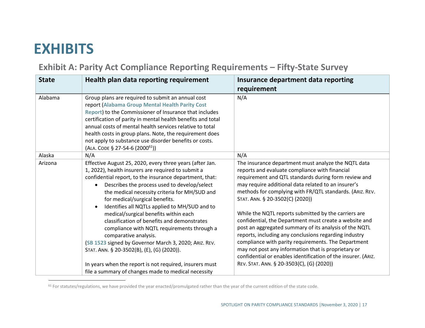# **EXHIBITS**

## **Exhibit A: Parity Act Compliance Reporting Requirements – Fifty-State Survey**

| <b>State</b> | Health plan data reporting requirement                                                                                                                                                                                                                                                                                                                                                                                                                                                                                                                                                                                                                                                                       | Insurance department data reporting                                                                                                                                                                                                                                                                                                                                                                                                                                                                                                                                                                                                                                                                                                                                                  |
|--------------|--------------------------------------------------------------------------------------------------------------------------------------------------------------------------------------------------------------------------------------------------------------------------------------------------------------------------------------------------------------------------------------------------------------------------------------------------------------------------------------------------------------------------------------------------------------------------------------------------------------------------------------------------------------------------------------------------------------|--------------------------------------------------------------------------------------------------------------------------------------------------------------------------------------------------------------------------------------------------------------------------------------------------------------------------------------------------------------------------------------------------------------------------------------------------------------------------------------------------------------------------------------------------------------------------------------------------------------------------------------------------------------------------------------------------------------------------------------------------------------------------------------|
|              |                                                                                                                                                                                                                                                                                                                                                                                                                                                                                                                                                                                                                                                                                                              | requirement                                                                                                                                                                                                                                                                                                                                                                                                                                                                                                                                                                                                                                                                                                                                                                          |
| Alabama      | Group plans are required to submit an annual cost<br>report (Alabama Group Mental Health Parity Cost<br>Report) to the Commissioner of Insurance that includes<br>certification of parity in mental health benefits and total<br>annual costs of mental health services relative to total<br>health costs in group plans. Note, the requirement does<br>not apply to substance use disorder benefits or costs.<br>(ALA. CODE § 27-54-6 (2000 <sup>61</sup> ))                                                                                                                                                                                                                                                | N/A                                                                                                                                                                                                                                                                                                                                                                                                                                                                                                                                                                                                                                                                                                                                                                                  |
| Alaska       | N/A                                                                                                                                                                                                                                                                                                                                                                                                                                                                                                                                                                                                                                                                                                          | N/A                                                                                                                                                                                                                                                                                                                                                                                                                                                                                                                                                                                                                                                                                                                                                                                  |
| Arizona      | Effective August 25, 2020, every three years (after Jan.<br>1, 2022), health insurers are required to submit a<br>confidential report, to the insurance department, that:<br>Describes the process used to develop/select<br>the medical necessity criteria for MH/SUD and<br>for medical/surgical benefits.<br>Identifies all NQTLs applied to MH/SUD and to<br>$\bullet$<br>medical/surgical benefits within each<br>classification of benefits and demonstrates<br>compliance with NQTL requirements through a<br>comparative analysis.<br>(SB 1523 signed by Governor March 3, 2020; ARIZ. REV.<br>STAT. ANN. § 20-3502(B), (E), (G) (2020)).<br>In years when the report is not required, insurers must | The insurance department must analyze the NQTL data<br>reports and evaluate compliance with financial<br>requirement and QTL standards during form review and<br>may require additional data related to an insurer's<br>methods for complying with FR/QTL standards. (ARIZ. REV.<br>STAT. ANN. § 20-3502(C) (2020))<br>While the NQTL reports submitted by the carriers are<br>confidential, the Department must create a website and<br>post an aggregated summary of its analysis of the NQTL<br>reports, including any conclusions regarding industry<br>compliance with parity requirements. The Department<br>may not post any information that is proprietary or<br>confidential or enables identification of the insurer. (ARIZ.<br>REV. STAT. ANN. § 20-3503(C), (G) (2020)) |
|              | file a summary of changes made to medical necessity                                                                                                                                                                                                                                                                                                                                                                                                                                                                                                                                                                                                                                                          |                                                                                                                                                                                                                                                                                                                                                                                                                                                                                                                                                                                                                                                                                                                                                                                      |

<sup>&</sup>lt;sup>61</sup> For statutes/regulations, we have provided the year enacted/promulgated rather than the year of the current edition of the state code.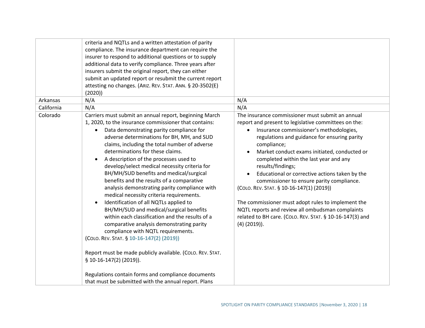|            | criteria and NQTLs and a written attestation of parity    |                                                          |
|------------|-----------------------------------------------------------|----------------------------------------------------------|
|            | compliance. The insurance department can require the      |                                                          |
|            | insurer to respond to additional questions or to supply   |                                                          |
|            | additional data to verify compliance. Three years after   |                                                          |
|            | insurers submit the original report, they can either      |                                                          |
|            | submit an updated report or resubmit the current report   |                                                          |
|            | attesting no changes. (ARIZ. REV. STAT. ANN. § 20-3502(E) |                                                          |
|            | (2020)                                                    |                                                          |
| Arkansas   | N/A                                                       | N/A                                                      |
| California | N/A                                                       | N/A                                                      |
| Colorado   | Carriers must submit an annual report, beginning March    | The insurance commissioner must submit an annual         |
|            | 1, 2020, to the insurance commissioner that contains:     | report and present to legislative committees on the:     |
|            | Data demonstrating parity compliance for<br>$\bullet$     | Insurance commissioner's methodologies,<br>$\bullet$     |
|            | adverse determinations for BH, MH, and SUD                | regulations and guidance for ensuring parity             |
|            | claims, including the total number of adverse             | compliance;                                              |
|            | determinations for these claims.                          | Market conduct exams initiated, conducted or             |
|            | A description of the processes used to<br>$\bullet$       | completed within the last year and any                   |
|            | develop/select medical necessity criteria for             | results/findings;                                        |
|            | BH/MH/SUD benefits and medical/surgical                   | Educational or corrective actions taken by the           |
|            | benefits and the results of a comparative                 | commissioner to ensure parity compliance.                |
|            | analysis demonstrating parity compliance with             | (COLO. REV. STAT. § 10-16-147(1) (2019))                 |
|            | medical necessity criteria requirements.                  |                                                          |
|            | Identification of all NQTLs applied to<br>$\bullet$       | The commissioner must adopt rules to implement the       |
|            | BH/MH/SUD and medical/surgical benefits                   | NQTL reports and review all ombudsman complaints         |
|            | within each classification and the results of a           | related to BH care. (COLO. REV. STAT. § 10-16-147(3) and |
|            | comparative analysis demonstrating parity                 | $(4)$ (2019)).                                           |
|            | compliance with NQTL requirements.                        |                                                          |
|            | (COLO. REV. STAT. § 10-16-147(2) (2019))                  |                                                          |
|            |                                                           |                                                          |
|            | Report must be made publicly available. (COLO. REV. STAT. |                                                          |
|            | $$10-16-147(2) (2019)$ .                                  |                                                          |
|            |                                                           |                                                          |
|            | Regulations contain forms and compliance documents        |                                                          |
|            | that must be submitted with the annual report. Plans      |                                                          |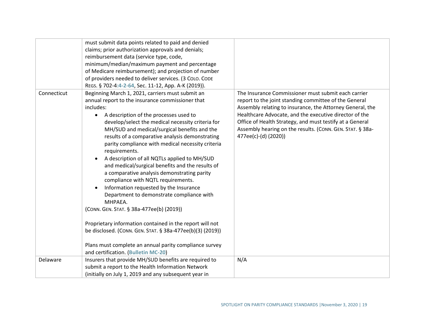|             | must submit data points related to paid and denied        |                                                           |
|-------------|-----------------------------------------------------------|-----------------------------------------------------------|
|             | claims; prior authorization approvals and denials;        |                                                           |
|             | reimbursement data (service type, code,                   |                                                           |
|             | minimum/median/maximum payment and percentage             |                                                           |
|             | of Medicare reimbursement); and projection of number      |                                                           |
|             | of providers needed to deliver services. (3 COLO. CODE    |                                                           |
|             | REGS. § 702-4:4-2-64, Sec. 11-12, App. A-K (2019)).       |                                                           |
| Connecticut | Beginning March 1, 2021, carriers must submit an          | The Insurance Commissioner must submit each carrier       |
|             | annual report to the insurance commissioner that          | report to the joint standing committee of the General     |
|             | includes:                                                 | Assembly relating to insurance, the Attorney General, the |
|             | A description of the processes used to<br>$\bullet$       | Healthcare Advocate, and the executive director of the    |
|             | develop/select the medical necessity criteria for         | Office of Health Strategy, and must testify at a General  |
|             | MH/SUD and medical/surgical benefits and the              | Assembly hearing on the results. (CONN. GEN. STAT. § 38a- |
|             | results of a comparative analysis demonstrating           | 477ee(c)-(d) (2020))                                      |
|             | parity compliance with medical necessity criteria         |                                                           |
|             | requirements.                                             |                                                           |
|             | A description of all NQTLs applied to MH/SUD<br>$\bullet$ |                                                           |
|             | and medical/surgical benefits and the results of          |                                                           |
|             | a comparative analysis demonstrating parity               |                                                           |
|             | compliance with NQTL requirements.                        |                                                           |
|             | Information requested by the Insurance<br>$\bullet$       |                                                           |
|             | Department to demonstrate compliance with                 |                                                           |
|             | MHPAEA.                                                   |                                                           |
|             | (CONN. GEN. STAT. § 38a-477ee(b) (2019))                  |                                                           |
|             |                                                           |                                                           |
|             | Proprietary information contained in the report will not  |                                                           |
|             | be disclosed. (CONN. GEN. STAT. § 38a-477ee(b)(3) (2019)) |                                                           |
|             |                                                           |                                                           |
|             | Plans must complete an annual parity compliance survey    |                                                           |
|             | and certification. (Bulletin MC-20)                       |                                                           |
| Delaware    | Insurers that provide MH/SUD benefits are required to     | N/A                                                       |
|             | submit a report to the Health Information Network         |                                                           |
|             | (initially on July 1, 2019 and any subsequent year in     |                                                           |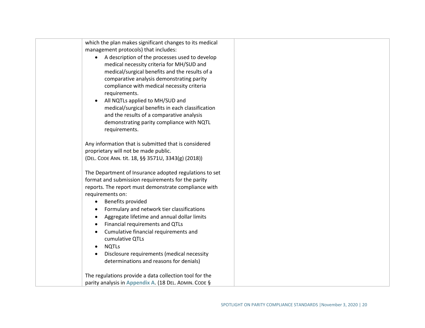| which the plan makes significant changes to its medical<br>management protocols) that includes:<br>A description of the processes used to develop<br>medical necessity criteria for MH/SUD and<br>medical/surgical benefits and the results of a<br>comparative analysis demonstrating parity<br>compliance with medical necessity criteria<br>requirements.<br>All NQTLs applied to MH/SUD and<br>medical/surgical benefits in each classification<br>and the results of a comparative analysis<br>demonstrating parity compliance with NQTL<br>requirements. |  |
|----------------------------------------------------------------------------------------------------------------------------------------------------------------------------------------------------------------------------------------------------------------------------------------------------------------------------------------------------------------------------------------------------------------------------------------------------------------------------------------------------------------------------------------------------------------|--|
| Any information that is submitted that is considered<br>proprietary will not be made public.<br>(DEL. CODE ANN. tit. 18, §§ 3571U, 3343(g) (2018))                                                                                                                                                                                                                                                                                                                                                                                                             |  |
| The Department of Insurance adopted regulations to set<br>format and submission requirements for the parity<br>reports. The report must demonstrate compliance with<br>requirements on:<br>Benefits provided<br>Formulary and network tier classifications<br>Aggregate lifetime and annual dollar limits<br>Financial requirements and QTLs<br>Cumulative financial requirements and<br>cumulative QTLs<br><b>NQTLs</b><br>$\bullet$<br>Disclosure requirements (medical necessity<br>determinations and reasons for denials)                                 |  |
| The regulations provide a data collection tool for the<br>parity analysis in Appendix A. (18 DEL. ADMIN. CODE §                                                                                                                                                                                                                                                                                                                                                                                                                                                |  |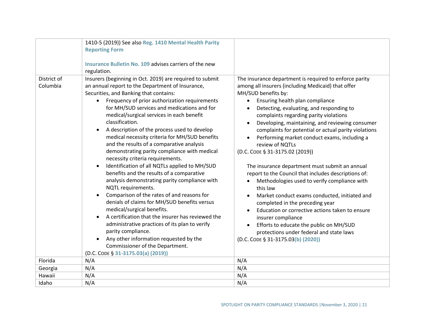|                         | 1410-5 (2019)) See also Reg. 1410 Mental Health Parity<br><b>Reporting Form</b><br>Insurance Bulletin No. 109 advises carriers of the new<br>regulation.                                                                                                                                                                                                                                                                                                                                                                                                                                                                                                                                                                                                                                                                                                                                                                                                                                                                                                                                                                             |                                                                                                                                                                                                                                                                                                                                                                                                                                                                                                                                                                                                                                                                                                                                                                                                                                                                                                                                                                         |
|-------------------------|--------------------------------------------------------------------------------------------------------------------------------------------------------------------------------------------------------------------------------------------------------------------------------------------------------------------------------------------------------------------------------------------------------------------------------------------------------------------------------------------------------------------------------------------------------------------------------------------------------------------------------------------------------------------------------------------------------------------------------------------------------------------------------------------------------------------------------------------------------------------------------------------------------------------------------------------------------------------------------------------------------------------------------------------------------------------------------------------------------------------------------------|-------------------------------------------------------------------------------------------------------------------------------------------------------------------------------------------------------------------------------------------------------------------------------------------------------------------------------------------------------------------------------------------------------------------------------------------------------------------------------------------------------------------------------------------------------------------------------------------------------------------------------------------------------------------------------------------------------------------------------------------------------------------------------------------------------------------------------------------------------------------------------------------------------------------------------------------------------------------------|
| District of<br>Columbia | Insurers (beginning in Oct. 2019) are required to submit<br>an annual report to the Department of Insurance,<br>Securities, and Banking that contains:<br>Frequency of prior authorization requirements<br>for MH/SUD services and medications and for<br>medical/surgical services in each benefit<br>classification.<br>A description of the process used to develop<br>$\bullet$<br>medical necessity criteria for MH/SUD benefits<br>and the results of a comparative analysis<br>demonstrating parity compliance with medical<br>necessity criteria requirements.<br>Identification of all NQTLs applied to MH/SUD<br>$\bullet$<br>benefits and the results of a comparative<br>analysis demonstrating parity compliance with<br>NQTL requirements.<br>Comparison of the rates of and reasons for<br>denials of claims for MH/SUD benefits versus<br>medical/surgical benefits.<br>A certification that the insurer has reviewed the<br>administrative practices of its plan to verify<br>parity compliance.<br>Any other information requested by the<br>Commissioner of the Department.<br>(D.C. CODE § 31-3175.03(a) (2019)) | The insurance department is required to enforce parity<br>among all insurers (including Medicaid) that offer<br>MH/SUD benefits by:<br>Ensuring health plan compliance<br>Detecting, evaluating, and responding to<br>complaints regarding parity violations<br>Developing, maintaining, and reviewing consumer<br>$\bullet$<br>complaints for potential or actual parity violations<br>Performing market conduct exams, including a<br>review of NQTLs<br>(D.C. CODE § 31-3175.02 (2019))<br>The insurance department must submit an annual<br>report to the Council that includes descriptions of:<br>Methodologies used to verify compliance with<br>this law<br>Market conduct exams conducted, initiated and<br>$\bullet$<br>completed in the preceding year<br>Education or corrective actions taken to ensure<br>insurer compliance<br>Efforts to educate the public on MH/SUD<br>protections under federal and state laws<br>(D.C. CODE § 31-3175.03(b) (2020)) |
| Florida                 | N/A                                                                                                                                                                                                                                                                                                                                                                                                                                                                                                                                                                                                                                                                                                                                                                                                                                                                                                                                                                                                                                                                                                                                  | N/A                                                                                                                                                                                                                                                                                                                                                                                                                                                                                                                                                                                                                                                                                                                                                                                                                                                                                                                                                                     |
| Georgia                 | N/A                                                                                                                                                                                                                                                                                                                                                                                                                                                                                                                                                                                                                                                                                                                                                                                                                                                                                                                                                                                                                                                                                                                                  | N/A                                                                                                                                                                                                                                                                                                                                                                                                                                                                                                                                                                                                                                                                                                                                                                                                                                                                                                                                                                     |
| Hawaii                  | N/A                                                                                                                                                                                                                                                                                                                                                                                                                                                                                                                                                                                                                                                                                                                                                                                                                                                                                                                                                                                                                                                                                                                                  | N/A                                                                                                                                                                                                                                                                                                                                                                                                                                                                                                                                                                                                                                                                                                                                                                                                                                                                                                                                                                     |
| Idaho                   | N/A                                                                                                                                                                                                                                                                                                                                                                                                                                                                                                                                                                                                                                                                                                                                                                                                                                                                                                                                                                                                                                                                                                                                  | N/A                                                                                                                                                                                                                                                                                                                                                                                                                                                                                                                                                                                                                                                                                                                                                                                                                                                                                                                                                                     |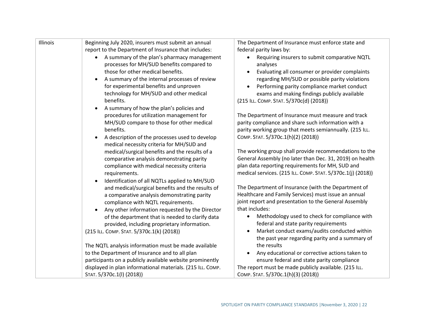| Illinois | Beginning July 2020, insurers must submit an annual<br>report to the Department of Insurance that includes:<br>A summary of the plan's pharmacy management<br>$\bullet$<br>processes for MH/SUD benefits compared to<br>those for other medical benefits.<br>A summary of the internal processes of review<br>$\bullet$<br>for experimental benefits and unproven<br>technology for MH/SUD and other medical<br>benefits.<br>A summary of how the plan's policies and<br>$\bullet$<br>procedures for utilization management for<br>MH/SUD compare to those for other medical<br>benefits.<br>A description of the processes used to develop<br>$\bullet$<br>medical necessity criteria for MH/SUD and<br>medical/surgical benefits and the results of a<br>comparative analysis demonstrating parity<br>compliance with medical necessity criteria<br>requirements.<br>Identification of all NQTLs applied to MH/SUD<br>$\bullet$<br>and medical/surgical benefits and the results of<br>a comparative analysis demonstrating parity<br>compliance with NQTL requirements.<br>Any other information requested by the Director<br>$\bullet$<br>of the department that is needed to clarify data<br>provided, including proprietary information.<br>(215 ILL. COMP. STAT. 5/370c.1(k) (2018)) | The Department of Insurance must enforce state and<br>federal parity laws by:<br>Requiring insurers to submit comparative NQTL<br>analyses<br>Evaluating all consumer or provider complaints<br>regarding MH/SUD or possible parity violations<br>Performing parity compliance market conduct<br>exams and making findings publicly available<br>(215 ILL. COMP. STAT. 5/370c(d) (2018))<br>The Department of Insurance must measure and track<br>parity compliance and share such information with a<br>parity working group that meets semiannually. (215 ILL.<br>СОМР. STAT. 5/370с.1(h)(2) (2018))<br>The working group shall provide recommendations to the<br>General Assembly (no later than Dec. 31, 2019) on health<br>plan data reporting requirements for MH, SUD and<br>medical services. (215 ILL. COMP. STAT. 5/370c.1(j) (2018))<br>The Department of Insurance (with the Department of<br>Healthcare and Family Services) must issue an annual<br>joint report and presentation to the General Assembly<br>that includes:<br>Methodology used to check for compliance with<br>$\bullet$<br>federal and state parity requirements<br>Market conduct exams/audits conducted within<br>the past year regarding parity and a summary of |
|----------|---------------------------------------------------------------------------------------------------------------------------------------------------------------------------------------------------------------------------------------------------------------------------------------------------------------------------------------------------------------------------------------------------------------------------------------------------------------------------------------------------------------------------------------------------------------------------------------------------------------------------------------------------------------------------------------------------------------------------------------------------------------------------------------------------------------------------------------------------------------------------------------------------------------------------------------------------------------------------------------------------------------------------------------------------------------------------------------------------------------------------------------------------------------------------------------------------------------------------------------------------------------------------------------------|-----------------------------------------------------------------------------------------------------------------------------------------------------------------------------------------------------------------------------------------------------------------------------------------------------------------------------------------------------------------------------------------------------------------------------------------------------------------------------------------------------------------------------------------------------------------------------------------------------------------------------------------------------------------------------------------------------------------------------------------------------------------------------------------------------------------------------------------------------------------------------------------------------------------------------------------------------------------------------------------------------------------------------------------------------------------------------------------------------------------------------------------------------------------------------------------------------------------------------------------------------|
|          |                                                                                                                                                                                                                                                                                                                                                                                                                                                                                                                                                                                                                                                                                                                                                                                                                                                                                                                                                                                                                                                                                                                                                                                                                                                                                             |                                                                                                                                                                                                                                                                                                                                                                                                                                                                                                                                                                                                                                                                                                                                                                                                                                                                                                                                                                                                                                                                                                                                                                                                                                                     |
|          | The NQTL analysis information must be made available                                                                                                                                                                                                                                                                                                                                                                                                                                                                                                                                                                                                                                                                                                                                                                                                                                                                                                                                                                                                                                                                                                                                                                                                                                        | the results                                                                                                                                                                                                                                                                                                                                                                                                                                                                                                                                                                                                                                                                                                                                                                                                                                                                                                                                                                                                                                                                                                                                                                                                                                         |
|          | to the Department of Insurance and to all plan                                                                                                                                                                                                                                                                                                                                                                                                                                                                                                                                                                                                                                                                                                                                                                                                                                                                                                                                                                                                                                                                                                                                                                                                                                              | Any educational or corrective actions taken to<br>$\bullet$                                                                                                                                                                                                                                                                                                                                                                                                                                                                                                                                                                                                                                                                                                                                                                                                                                                                                                                                                                                                                                                                                                                                                                                         |
|          | participants on a publicly available website prominently                                                                                                                                                                                                                                                                                                                                                                                                                                                                                                                                                                                                                                                                                                                                                                                                                                                                                                                                                                                                                                                                                                                                                                                                                                    | ensure federal and state parity compliance                                                                                                                                                                                                                                                                                                                                                                                                                                                                                                                                                                                                                                                                                                                                                                                                                                                                                                                                                                                                                                                                                                                                                                                                          |
|          | displayed in plan informational materials. (215 ILL. COMP.                                                                                                                                                                                                                                                                                                                                                                                                                                                                                                                                                                                                                                                                                                                                                                                                                                                                                                                                                                                                                                                                                                                                                                                                                                  | The report must be made publicly available. (215 ILL.                                                                                                                                                                                                                                                                                                                                                                                                                                                                                                                                                                                                                                                                                                                                                                                                                                                                                                                                                                                                                                                                                                                                                                                               |
|          | STAT. 5/370c.1(I) (2018))                                                                                                                                                                                                                                                                                                                                                                                                                                                                                                                                                                                                                                                                                                                                                                                                                                                                                                                                                                                                                                                                                                                                                                                                                                                                   | COMP. STAT. 5/370c.1(h)(3) (2018))                                                                                                                                                                                                                                                                                                                                                                                                                                                                                                                                                                                                                                                                                                                                                                                                                                                                                                                                                                                                                                                                                                                                                                                                                  |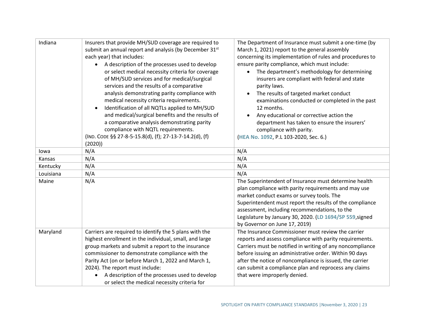| Indiana   | Insurers that provide MH/SUD coverage are required to<br>submit an annual report and analysis (by December 31st<br>each year) that includes:<br>A description of the processes used to develop<br>or select medical necessity criteria for coverage<br>of MH/SUD services and for medical/surgical<br>services and the results of a comparative<br>analysis demonstrating parity compliance with<br>medical necessity criteria requirements.<br>Identification of all NQTLs applied to MH/SUD<br>$\bullet$ | The Department of Insurance must submit a one-time (by<br>March 1, 2021) report to the general assembly<br>concerning its implementation of rules and procedures to<br>ensure parity compliance, which must include:<br>The department's methodology for determining<br>insurers are compliant with federal and state<br>parity laws.<br>The results of targeted market conduct<br>$\bullet$<br>examinations conducted or completed in the past<br>12 months. |
|-----------|------------------------------------------------------------------------------------------------------------------------------------------------------------------------------------------------------------------------------------------------------------------------------------------------------------------------------------------------------------------------------------------------------------------------------------------------------------------------------------------------------------|---------------------------------------------------------------------------------------------------------------------------------------------------------------------------------------------------------------------------------------------------------------------------------------------------------------------------------------------------------------------------------------------------------------------------------------------------------------|
|           | and medical/surgical benefits and the results of<br>a comparative analysis demonstrating parity<br>compliance with NQTL requirements.<br>(IND. CODE §§ 27-8-5-15.8(d), (f); 27-13-7-14.2(d), (f)<br>(2020)                                                                                                                                                                                                                                                                                                 | Any educational or corrective action the<br>$\bullet$<br>department has taken to ensure the insurers'<br>compliance with parity.<br>(HEA No. 1092, P.L 103-2020, Sec. 6.)                                                                                                                                                                                                                                                                                     |
| lowa      | N/A                                                                                                                                                                                                                                                                                                                                                                                                                                                                                                        | N/A                                                                                                                                                                                                                                                                                                                                                                                                                                                           |
| Kansas    | N/A                                                                                                                                                                                                                                                                                                                                                                                                                                                                                                        | N/A                                                                                                                                                                                                                                                                                                                                                                                                                                                           |
| Kentucky  | N/A                                                                                                                                                                                                                                                                                                                                                                                                                                                                                                        | N/A                                                                                                                                                                                                                                                                                                                                                                                                                                                           |
| Louisiana | N/A                                                                                                                                                                                                                                                                                                                                                                                                                                                                                                        | N/A                                                                                                                                                                                                                                                                                                                                                                                                                                                           |
| Maine     | N/A                                                                                                                                                                                                                                                                                                                                                                                                                                                                                                        | The Superintendent of Insurance must determine health<br>plan compliance with parity requirements and may use<br>market conduct exams or survey tools. The<br>Superintendent must report the results of the compliance<br>assessment, including recommendations, to the<br>Legislature by January 30, 2020. (LD 1694/SP 559, signed<br>by Governor on June 17, 2019)                                                                                          |
| Maryland  | Carriers are required to identify the 5 plans with the<br>highest enrollment in the individual, small, and large<br>group markets and submit a report to the insurance<br>commissioner to demonstrate compliance with the<br>Parity Act (on or before March 1, 2022 and March 1,<br>2024). The report must include:<br>A description of the processes used to develop<br>$\bullet$<br>or select the medical necessity criteria for                                                                         | The Insurance Commissioner must review the carrier<br>reports and assess compliance with parity requirements.<br>Carriers must be notified in writing of any noncompliance<br>before issuing an administrative order. Within 90 days<br>after the notice of noncompliance is issued, the carrier<br>can submit a compliance plan and reprocess any claims<br>that were improperly denied.                                                                     |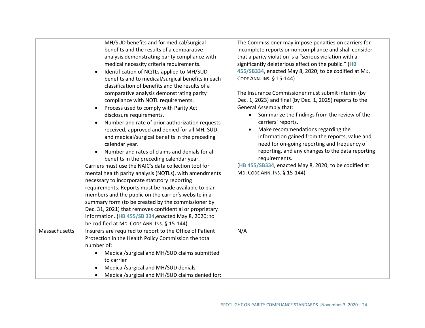|               | MH/SUD benefits and for medical/surgical<br>benefits and the results of a comparative<br>analysis demonstrating parity compliance with<br>medical necessity criteria requirements.<br>Identification of NQTLs applied to MH/SUD<br>$\bullet$<br>benefits and to medical/surgical benefits in each<br>classification of benefits and the results of a<br>comparative analysis demonstrating parity<br>compliance with NQTL requirements.<br>Process used to comply with Parity Act<br>$\bullet$<br>disclosure requirements.<br>Number and rate of prior authorization requests<br>$\bullet$<br>received, approved and denied for all MH, SUD<br>and medical/surgical benefits in the preceding<br>calendar year.<br>Number and rates of claims and denials for all<br>$\bullet$<br>benefits in the preceding calendar year.<br>Carriers must use the NAIC's data collection tool for<br>mental health parity analysis (NQTLs), with amendments<br>necessary to incorporate statutory reporting<br>requirements. Reports must be made available to plan<br>members and the public on the carrier's website in a<br>summary form (to be created by the commissioner by<br>Dec. 31, 2021) that removes confidential or proprietary<br>information. (HB 455/SB 334, enacted May 8, 2020; to<br>be codified at MD. CODE ANN. INS. § 15-144) | The Commissioner may impose penalties on carriers for<br>incomplete reports or noncompliance and shall consider<br>that a parity violation is a "serious violation with a<br>significantly deleterious effect on the public." (HB<br>455/SB334, enacted May 8, 2020; to be codified at MD.<br>CODE ANN. INS. § 15-144)<br>The Insurance Commissioner must submit interim (by<br>Dec. 1, 2023) and final (by Dec. 1, 2025) reports to the<br><b>General Assembly that:</b><br>Summarize the findings from the review of the<br>carriers' reports.<br>Make recommendations regarding the<br>information gained from the reports, value and<br>need for on-going reporting and frequency of<br>reporting, and any changes to the data reporting<br>requirements.<br>(HB 455/SB334, enacted May 8, 2020; to be codified at<br>MD. CODE ANN. INS. § 15-144) |
|---------------|---------------------------------------------------------------------------------------------------------------------------------------------------------------------------------------------------------------------------------------------------------------------------------------------------------------------------------------------------------------------------------------------------------------------------------------------------------------------------------------------------------------------------------------------------------------------------------------------------------------------------------------------------------------------------------------------------------------------------------------------------------------------------------------------------------------------------------------------------------------------------------------------------------------------------------------------------------------------------------------------------------------------------------------------------------------------------------------------------------------------------------------------------------------------------------------------------------------------------------------------------------------------------------------------------------------------------------------|--------------------------------------------------------------------------------------------------------------------------------------------------------------------------------------------------------------------------------------------------------------------------------------------------------------------------------------------------------------------------------------------------------------------------------------------------------------------------------------------------------------------------------------------------------------------------------------------------------------------------------------------------------------------------------------------------------------------------------------------------------------------------------------------------------------------------------------------------------|
| Massachusetts | Insurers are required to report to the Office of Patient<br>Protection in the Health Policy Commission the total<br>number of:<br>Medical/surgical and MH/SUD claims submitted<br>to carrier<br>Medical/surgical and MH/SUD denials<br>Medical/surgical and MH/SUD claims denied for:                                                                                                                                                                                                                                                                                                                                                                                                                                                                                                                                                                                                                                                                                                                                                                                                                                                                                                                                                                                                                                                 | N/A                                                                                                                                                                                                                                                                                                                                                                                                                                                                                                                                                                                                                                                                                                                                                                                                                                                    |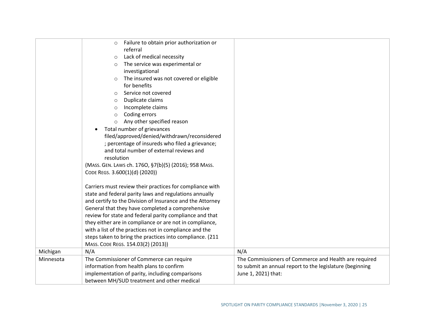|           | Failure to obtain prior authorization or                  |                                                          |
|-----------|-----------------------------------------------------------|----------------------------------------------------------|
|           | $\circ$<br>referral                                       |                                                          |
|           |                                                           |                                                          |
|           | Lack of medical necessity<br>$\circ$                      |                                                          |
|           | The service was experimental or<br>$\circ$                |                                                          |
|           | investigational                                           |                                                          |
|           | The insured was not covered or eligible<br>$\circ$        |                                                          |
|           | for benefits                                              |                                                          |
|           | Service not covered<br>$\circ$                            |                                                          |
|           | Duplicate claims<br>$\circ$                               |                                                          |
|           | Incomplete claims<br>$\circ$                              |                                                          |
|           | Coding errors<br>$\circ$                                  |                                                          |
|           | Any other specified reason<br>$\circ$                     |                                                          |
|           | Total number of grievances<br>$\bullet$                   |                                                          |
|           | filed/approved/denied/withdrawn/reconsidered              |                                                          |
|           | ; percentage of insureds who filed a grievance;           |                                                          |
|           | and total number of external reviews and                  |                                                          |
|           | resolution                                                |                                                          |
|           | (MASS. GEN. LAWS ch. 1760, §7(b)(5) (2016); 958 MASS.     |                                                          |
|           | CODE REGS. 3.600(1)(d) (2020))                            |                                                          |
|           |                                                           |                                                          |
|           | Carriers must review their practices for compliance with  |                                                          |
|           | state and federal parity laws and regulations annually    |                                                          |
|           | and certify to the Division of Insurance and the Attorney |                                                          |
|           | General that they have completed a comprehensive          |                                                          |
|           | review for state and federal parity compliance and that   |                                                          |
|           |                                                           |                                                          |
|           | they either are in compliance or are not in compliance,   |                                                          |
|           | with a list of the practices not in compliance and the    |                                                          |
|           | steps taken to bring the practices into compliance. (211  |                                                          |
|           | MASS. CODE REGS. 154.03(2) (2013))                        |                                                          |
| Michigan  | N/A                                                       | N/A                                                      |
| Minnesota | The Commissioner of Commerce can require                  | The Commissioners of Commerce and Health are required    |
|           | information from health plans to confirm                  | to submit an annual report to the legislature (beginning |
|           | implementation of parity, including comparisons           | June 1, 2021) that:                                      |
|           | between MH/SUD treatment and other medical                |                                                          |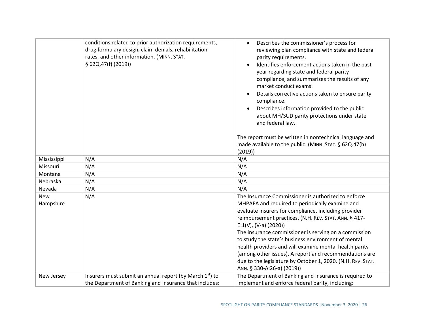|             | conditions related to prior authorization requirements,<br>drug formulary design, claim denials, rehabilitation<br>rates, and other information. (MINN. STAT.<br>§ 62Q.47(f) (2019)) | Describes the commissioner's process for<br>$\bullet$<br>reviewing plan compliance with state and federal<br>parity requirements.<br>Identifies enforcement actions taken in the past<br>year regarding state and federal parity<br>compliance, and summarizes the results of any<br>market conduct exams.<br>Details corrective actions taken to ensure parity<br>compliance.<br>Describes information provided to the public<br>about MH/SUD parity protections under state<br>and federal law.<br>The report must be written in nontechnical language and<br>made available to the public. (MINN. STAT. § 62Q.47(h)<br>(2019) |
|-------------|--------------------------------------------------------------------------------------------------------------------------------------------------------------------------------------|----------------------------------------------------------------------------------------------------------------------------------------------------------------------------------------------------------------------------------------------------------------------------------------------------------------------------------------------------------------------------------------------------------------------------------------------------------------------------------------------------------------------------------------------------------------------------------------------------------------------------------|
| Mississippi | N/A                                                                                                                                                                                  | N/A                                                                                                                                                                                                                                                                                                                                                                                                                                                                                                                                                                                                                              |
| Missouri    | N/A                                                                                                                                                                                  | N/A                                                                                                                                                                                                                                                                                                                                                                                                                                                                                                                                                                                                                              |
| Montana     | N/A                                                                                                                                                                                  | N/A                                                                                                                                                                                                                                                                                                                                                                                                                                                                                                                                                                                                                              |
| Nebraska    | N/A                                                                                                                                                                                  | N/A                                                                                                                                                                                                                                                                                                                                                                                                                                                                                                                                                                                                                              |
| Nevada      | N/A                                                                                                                                                                                  | N/A                                                                                                                                                                                                                                                                                                                                                                                                                                                                                                                                                                                                                              |
| <b>New</b>  | N/A                                                                                                                                                                                  | The Insurance Commissioner is authorized to enforce                                                                                                                                                                                                                                                                                                                                                                                                                                                                                                                                                                              |
| Hampshire   |                                                                                                                                                                                      | MHPAEA and required to periodically examine and                                                                                                                                                                                                                                                                                                                                                                                                                                                                                                                                                                                  |
|             |                                                                                                                                                                                      | evaluate insurers for compliance, including provider                                                                                                                                                                                                                                                                                                                                                                                                                                                                                                                                                                             |
|             |                                                                                                                                                                                      | reimbursement practices. (N.H. REV. STAT. ANN. § 417-                                                                                                                                                                                                                                                                                                                                                                                                                                                                                                                                                                            |
|             |                                                                                                                                                                                      | $E:1(V), (V-a) (2020))$                                                                                                                                                                                                                                                                                                                                                                                                                                                                                                                                                                                                          |
|             |                                                                                                                                                                                      | The insurance commissioner is serving on a commission                                                                                                                                                                                                                                                                                                                                                                                                                                                                                                                                                                            |
|             |                                                                                                                                                                                      | to study the state's business environment of mental                                                                                                                                                                                                                                                                                                                                                                                                                                                                                                                                                                              |
|             |                                                                                                                                                                                      | health providers and will examine mental health parity                                                                                                                                                                                                                                                                                                                                                                                                                                                                                                                                                                           |
|             |                                                                                                                                                                                      | (among other issues). A report and recommendations are                                                                                                                                                                                                                                                                                                                                                                                                                                                                                                                                                                           |
|             |                                                                                                                                                                                      | due to the legislature by October 1, 2020. (N.H. REV. STAT.                                                                                                                                                                                                                                                                                                                                                                                                                                                                                                                                                                      |
|             |                                                                                                                                                                                      | ANN. § 330-A:26-a) (2019))                                                                                                                                                                                                                                                                                                                                                                                                                                                                                                                                                                                                       |
| New Jersey  | Insurers must submit an annual report (by March 1 <sup>st</sup> ) to                                                                                                                 | The Department of Banking and Insurance is required to                                                                                                                                                                                                                                                                                                                                                                                                                                                                                                                                                                           |
|             | the Department of Banking and Insurance that includes:                                                                                                                               | implement and enforce federal parity, including:                                                                                                                                                                                                                                                                                                                                                                                                                                                                                                                                                                                 |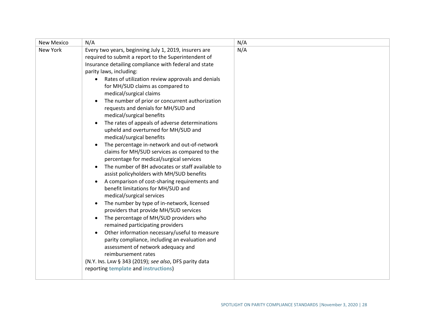| <b>New Mexico</b> | N/A                                                                                                                                                                                                                                                                                                                                                                                                                                                                                                                                                                                                                                                                                                                                                                                                                                                                                                                                                                                                                                                                                                                                                                                                                                                                                                                                                                                                                                                                      | N/A |
|-------------------|--------------------------------------------------------------------------------------------------------------------------------------------------------------------------------------------------------------------------------------------------------------------------------------------------------------------------------------------------------------------------------------------------------------------------------------------------------------------------------------------------------------------------------------------------------------------------------------------------------------------------------------------------------------------------------------------------------------------------------------------------------------------------------------------------------------------------------------------------------------------------------------------------------------------------------------------------------------------------------------------------------------------------------------------------------------------------------------------------------------------------------------------------------------------------------------------------------------------------------------------------------------------------------------------------------------------------------------------------------------------------------------------------------------------------------------------------------------------------|-----|
| New York          | Every two years, beginning July 1, 2019, insurers are<br>required to submit a report to the Superintendent of<br>Insurance detailing compliance with federal and state<br>parity laws, including:<br>Rates of utilization review approvals and denials<br>for MH/SUD claims as compared to<br>medical/surgical claims<br>The number of prior or concurrent authorization<br>$\bullet$<br>requests and denials for MH/SUD and<br>medical/surgical benefits<br>The rates of appeals of adverse determinations<br>$\bullet$<br>upheld and overturned for MH/SUD and<br>medical/surgical benefits<br>The percentage in-network and out-of-network<br>$\bullet$<br>claims for MH/SUD services as compared to the<br>percentage for medical/surgical services<br>The number of BH advocates or staff available to<br>assist policyholders with MH/SUD benefits<br>A comparison of cost-sharing requirements and<br>$\bullet$<br>benefit limitations for MH/SUD and<br>medical/surgical services<br>The number by type of in-network, licensed<br>$\bullet$<br>providers that provide MH/SUD services<br>The percentage of MH/SUD providers who<br>$\bullet$<br>remained participating providers<br>Other information necessary/useful to measure<br>$\bullet$<br>parity compliance, including an evaluation and<br>assessment of network adequacy and<br>reimbursement rates<br>(N.Y. INS. LAW § 343 (2019); see also, DFS parity data<br>reporting template and instructions) | N/A |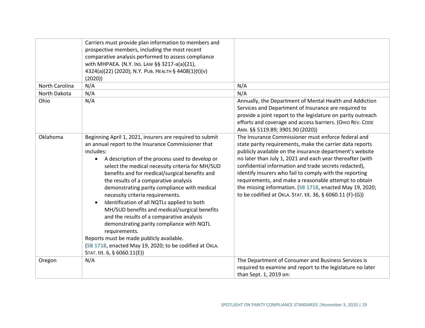|                | Carriers must provide plan information to members and<br>prospective members, including the most recent<br>comparative analysis performed to assess compliance<br>with MHPAEA. (N.Y. Ins. Law §§ 3217-a(a)(21),<br>4324(a)(22) (2020); N.Y. PUB. HEALTH § 4408(1)(t)(v)<br>(2020)                                                                                                                                                                                                                                                                                                                                                                                                                                                                                                             |                                                                                                                                                                                                                                                                                                                                                                                                                                                                                                                                                |
|----------------|-----------------------------------------------------------------------------------------------------------------------------------------------------------------------------------------------------------------------------------------------------------------------------------------------------------------------------------------------------------------------------------------------------------------------------------------------------------------------------------------------------------------------------------------------------------------------------------------------------------------------------------------------------------------------------------------------------------------------------------------------------------------------------------------------|------------------------------------------------------------------------------------------------------------------------------------------------------------------------------------------------------------------------------------------------------------------------------------------------------------------------------------------------------------------------------------------------------------------------------------------------------------------------------------------------------------------------------------------------|
| North Carolina | N/A                                                                                                                                                                                                                                                                                                                                                                                                                                                                                                                                                                                                                                                                                                                                                                                           | N/A                                                                                                                                                                                                                                                                                                                                                                                                                                                                                                                                            |
| North Dakota   | N/A                                                                                                                                                                                                                                                                                                                                                                                                                                                                                                                                                                                                                                                                                                                                                                                           | N/A                                                                                                                                                                                                                                                                                                                                                                                                                                                                                                                                            |
| Ohio           | N/A                                                                                                                                                                                                                                                                                                                                                                                                                                                                                                                                                                                                                                                                                                                                                                                           | Annually, the Department of Mental Health and Addiction<br>Services and Department of Insurance are required to<br>provide a joint report to the legislature on parity outreach<br>efforts and coverage and access barriers. (OHIO REV. CODE<br>ANN. §§ 5119.89; 3901.90 (2020))                                                                                                                                                                                                                                                               |
| Oklahoma       | Beginning April 1, 2021, insurers are required to submit<br>an annual report to the Insurance Commissioner that<br>includes:<br>A description of the process used to develop or<br>$\bullet$<br>select the medical necessity criteria for MH/SUD<br>benefits and for medical/surgical benefits and<br>the results of a comparative analysis<br>demonstrating parity compliance with medical<br>necessity criteria requirements.<br>Identification of all NQTLs applied to both<br>$\bullet$<br>MH/SUD benefits and medical/surgical benefits<br>and the results of a comparative analysis<br>demonstrating parity compliance with NQTL<br>requirements.<br>Reports must be made publicly available.<br>(SB 1718, enacted May 19, 2020; to be codified at OKLA.<br>STAT. tit. 6, § 6060.11(E)) | The Insurance Commissioner must enforce federal and<br>state parity requirements, make the carrier data reports<br>publicly available on the insurance department's website<br>no later than July 1, 2021 and each year thereafter (with<br>confidential information and trade secrets redacted),<br>identify insurers who fail to comply with the reporting<br>requirements, and make a reasonable attempt to obtain<br>the missing information. (SB 1718, enacted May 19, 2020;<br>to be codified at OKLA. STAT. tit. 36, § 6060.11 (F)-(G)) |
| Oregon         | N/A                                                                                                                                                                                                                                                                                                                                                                                                                                                                                                                                                                                                                                                                                                                                                                                           | The Department of Consumer and Business Services is<br>required to examine and report to the legislature no later<br>than Sept. 1, 2019 on:                                                                                                                                                                                                                                                                                                                                                                                                    |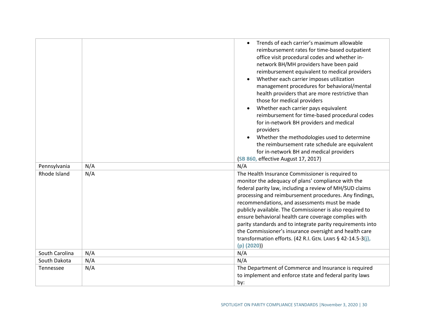| Pennsylvania     | N/A | Trends of each carrier's maximum allowable<br>$\bullet$<br>reimbursement rates for time-based outpatient<br>office visit procedural codes and whether in-<br>network BH/MH providers have been paid<br>reimbursement equivalent to medical providers<br>Whether each carrier imposes utilization<br>$\bullet$<br>management procedures for behavioral/mental<br>health providers that are more restrictive than<br>those for medical providers<br>Whether each carrier pays equivalent<br>reimbursement for time-based procedural codes<br>for in-network BH providers and medical<br>providers<br>Whether the methodologies used to determine<br>$\bullet$<br>the reimbursement rate schedule are equivalent<br>for in-network BH and medical providers<br>(SB 860, effective August 17, 2017)<br>N/A |
|------------------|-----|--------------------------------------------------------------------------------------------------------------------------------------------------------------------------------------------------------------------------------------------------------------------------------------------------------------------------------------------------------------------------------------------------------------------------------------------------------------------------------------------------------------------------------------------------------------------------------------------------------------------------------------------------------------------------------------------------------------------------------------------------------------------------------------------------------|
| Rhode Island     | N/A | The Health Insurance Commissioner is required to                                                                                                                                                                                                                                                                                                                                                                                                                                                                                                                                                                                                                                                                                                                                                       |
| South Carolina   | N/A | monitor the adequacy of plans' compliance with the<br>federal parity law, including a review of MH/SUD claims<br>processing and reimbursement procedures. Any findings,<br>recommendations, and assessments must be made<br>publicly available. The Commissioner is also required to<br>ensure behavioral health care coverage complies with<br>parity standards and to integrate parity requirements into<br>the Commissioner's insurance oversight and health care<br>transformation efforts. (42 R.I. GEN. LAWS § 42-14.5-3(j),<br>(p) (2020))<br>N/A                                                                                                                                                                                                                                               |
|                  |     |                                                                                                                                                                                                                                                                                                                                                                                                                                                                                                                                                                                                                                                                                                                                                                                                        |
| South Dakota     | N/A | N/A                                                                                                                                                                                                                                                                                                                                                                                                                                                                                                                                                                                                                                                                                                                                                                                                    |
| <b>Tennessee</b> | N/A | The Department of Commerce and Insurance is required<br>to implement and enforce state and federal parity laws<br>by:                                                                                                                                                                                                                                                                                                                                                                                                                                                                                                                                                                                                                                                                                  |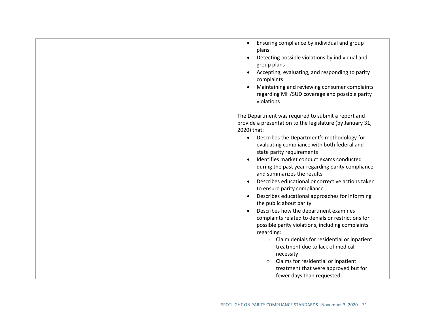- Ensuring compliance by individual and group plans
- Detecting possible violations by individual and group plans
- Accepting, evaluating, and responding to parity complaints
- Maintaining and reviewing consumer complaints regarding MH/SUD coverage and possible parity violations

The Department was required to submit a report and provide a presentation to the legislature (by January 31, 2020) that:

- Describes the Department's methodology for evaluating compliance with both federal and state parity requirements
- Identifies market conduct exams conducted during the past year regarding parity compliance and summarizes the results
- Describes educational or corrective actions taken to ensure parity compliance
- Describes educational approaches for informing the public about parity
- Describes how the department examines complaints related to denials or restrictions for possible parity violations, including complaints regarding:
	- o Claim denials for residential or inpatient treatment due to lack of medical necessity
	- o Claims for residential or inpatient treatment that were approved but for fewer days than requested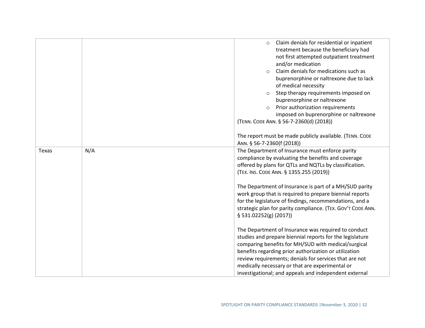|       |     | Claim denials for residential or inpatient<br>$\circ$<br>treatment because the beneficiary had<br>not first attempted outpatient treatment<br>and/or medication<br>Claim denials for medications such as<br>$\circ$<br>buprenorphine or naltrexone due to lack<br>of medical necessity<br>Step therapy requirements imposed on<br>buprenorphine or naltrexone<br>Prior authorization requirements<br>$\circ$<br>imposed on buprenorphine or naltrexone<br>(TENN. CODE ANN. § 56-7-2360(d) (2018))<br>The report must be made publicly available. (TENN. CODE<br>ANN. § 56-7-2360(f (2018)) |
|-------|-----|--------------------------------------------------------------------------------------------------------------------------------------------------------------------------------------------------------------------------------------------------------------------------------------------------------------------------------------------------------------------------------------------------------------------------------------------------------------------------------------------------------------------------------------------------------------------------------------------|
| Texas | N/A | The Department of Insurance must enforce parity                                                                                                                                                                                                                                                                                                                                                                                                                                                                                                                                            |
|       |     | compliance by evaluating the benefits and coverage<br>offered by plans for QTLs and NQTLs by classification.                                                                                                                                                                                                                                                                                                                                                                                                                                                                               |
|       |     | (TEX. INS. CODE ANN. § 1355.255 (2019))                                                                                                                                                                                                                                                                                                                                                                                                                                                                                                                                                    |
|       |     | The Department of Insurance is part of a MH/SUD parity<br>work group that is required to prepare biennial reports<br>for the legislature of findings, recommendations, and a<br>strategic plan for parity compliance. (TEX. GOV'T CODE ANN.<br>$§$ 531.02252(g) (2017))                                                                                                                                                                                                                                                                                                                    |
|       |     | The Department of Insurance was required to conduct<br>studies and prepare biennial reports for the legislature<br>comparing benefits for MH/SUD with medical/surgical<br>benefits regarding prior authorization or utilization                                                                                                                                                                                                                                                                                                                                                            |
|       |     | review requirements; denials for services that are not                                                                                                                                                                                                                                                                                                                                                                                                                                                                                                                                     |
|       |     | medically necessary or that are experimental or<br>investigational; and appeals and independent external                                                                                                                                                                                                                                                                                                                                                                                                                                                                                   |
|       |     |                                                                                                                                                                                                                                                                                                                                                                                                                                                                                                                                                                                            |
|       |     |                                                                                                                                                                                                                                                                                                                                                                                                                                                                                                                                                                                            |
|       |     | SPOTLIGHT ON PARITY COMPLIANCE STANDARDS   November 3, 2020   32                                                                                                                                                                                                                                                                                                                                                                                                                                                                                                                           |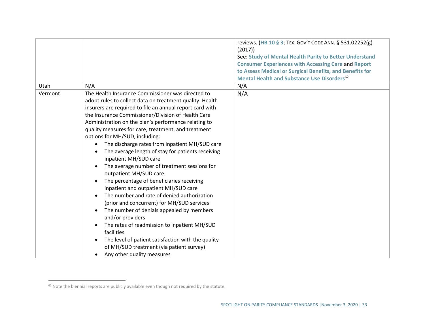|         |                                                                                                                                                                                                                                                                                                                                                                                                                                                                                                                                                                                                                                                                                                                                                                                                                                                                                                                                                                                                                                                                       | reviews. (HB 10 § 3; TEX. GOV'T CODE ANN. § 531.02252(g)<br>(2017)<br>See: Study of Mental Health Parity to Better Understand<br><b>Consumer Experiences with Accessing Care and Report</b><br>to Assess Medical or Surgical Benefits, and Benefits for<br><b>Mental Health and Substance Use Disorders<sup>62</sup></b> |
|---------|-----------------------------------------------------------------------------------------------------------------------------------------------------------------------------------------------------------------------------------------------------------------------------------------------------------------------------------------------------------------------------------------------------------------------------------------------------------------------------------------------------------------------------------------------------------------------------------------------------------------------------------------------------------------------------------------------------------------------------------------------------------------------------------------------------------------------------------------------------------------------------------------------------------------------------------------------------------------------------------------------------------------------------------------------------------------------|--------------------------------------------------------------------------------------------------------------------------------------------------------------------------------------------------------------------------------------------------------------------------------------------------------------------------|
| Utah    | N/A                                                                                                                                                                                                                                                                                                                                                                                                                                                                                                                                                                                                                                                                                                                                                                                                                                                                                                                                                                                                                                                                   | N/A                                                                                                                                                                                                                                                                                                                      |
| Vermont | The Health Insurance Commissioner was directed to<br>adopt rules to collect data on treatment quality. Health<br>insurers are required to file an annual report card with<br>the Insurance Commissioner/Division of Health Care<br>Administration on the plan's performance relating to<br>quality measures for care, treatment, and treatment<br>options for MH/SUD, including:<br>The discharge rates from inpatient MH/SUD care<br>The average length of stay for patients receiving<br>inpatient MH/SUD care<br>The average number of treatment sessions for<br>outpatient MH/SUD care<br>The percentage of beneficiaries receiving<br>$\bullet$<br>inpatient and outpatient MH/SUD care<br>The number and rate of denied authorization<br>(prior and concurrent) for MH/SUD services<br>The number of denials appealed by members<br>$\bullet$<br>and/or providers<br>The rates of readmission to inpatient MH/SUD<br>facilities<br>The level of patient satisfaction with the quality<br>of MH/SUD treatment (via patient survey)<br>Any other quality measures | N/A                                                                                                                                                                                                                                                                                                                      |

<sup>62</sup> Note the biennial reports are publicly available even though not required by the statute.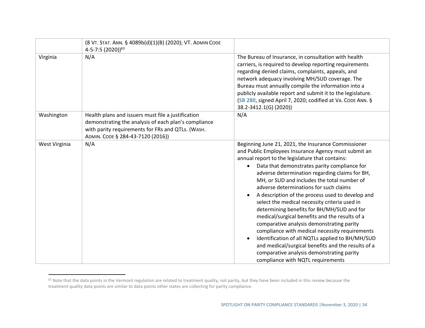|               | (8 VT. STAT. ANN. § 4089b(d)(1)(B) (2020); VT. ADMIN CODE<br>4-5-7:5 (2020)) <sup>63</sup>                                                                                                           |                                                                                                                                                                                                                                                                                                                                                                                                                                                                                                                                                                                                                                                                                                                                                                                                                                                           |
|---------------|------------------------------------------------------------------------------------------------------------------------------------------------------------------------------------------------------|-----------------------------------------------------------------------------------------------------------------------------------------------------------------------------------------------------------------------------------------------------------------------------------------------------------------------------------------------------------------------------------------------------------------------------------------------------------------------------------------------------------------------------------------------------------------------------------------------------------------------------------------------------------------------------------------------------------------------------------------------------------------------------------------------------------------------------------------------------------|
| Virginia      | N/A                                                                                                                                                                                                  | The Bureau of Insurance, in consultation with health<br>carriers, is required to develop reporting requirements<br>regarding denied claims, complaints, appeals, and<br>network adequacy involving MH/SUD coverage. The<br>Bureau must annually compile the information into a<br>publicly available report and submit it to the legislature.<br>(SB 280, signed April 7, 2020; codified at VA. CODE ANN. §<br>38.2-3412.1(G) (2020))                                                                                                                                                                                                                                                                                                                                                                                                                     |
| Washington    | Health plans and issuers must file a justification<br>demonstrating the analysis of each plan's compliance<br>with parity requirements for FRs and QTLs. (WASH.<br>ADMIN. CODE § 284-43-7120 (2016)) | N/A                                                                                                                                                                                                                                                                                                                                                                                                                                                                                                                                                                                                                                                                                                                                                                                                                                                       |
| West Virginia | N/A                                                                                                                                                                                                  | Beginning June 21, 2021, the Insurance Commissioner<br>and Public Employees Insurance Agency must submit an<br>annual report to the legislature that contains:<br>Data that demonstrates parity compliance for<br>adverse determination regarding claims for BH,<br>MH, or SUD and includes the total number of<br>adverse determinations for such claims<br>A description of the process used to develop and<br>select the medical necessity criteria used in<br>determining benefits for BH/MH/SUD and for<br>medical/surgical benefits and the results of a<br>comparative analysis demonstrating parity<br>compliance with medical necessity requirements<br>Identification of all NQTLs applied to BH/MH/SUD<br>and medical/surgical benefits and the results of a<br>comparative analysis demonstrating parity<br>compliance with NQTL requirements |

<sup>63</sup> Note that the data points in the Vermont regulation are related to treatment quality, not parity, but they have been included in this review because the treatment quality data points are similar to data points other states are collecting for parity compliance.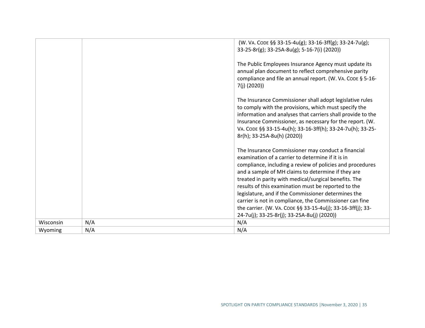|           |     | (W. VA. CODE §§ 33-15-4u(g); 33-16-3ff(g); 33-24-7u(g);                                                                 |
|-----------|-----|-------------------------------------------------------------------------------------------------------------------------|
|           |     | 33-25-8r(g); 33-25A-8u(g); 5-16-7(i) (2020))                                                                            |
|           |     | The Public Employees Insurance Agency must update its                                                                   |
|           |     | annual plan document to reflect comprehensive parity                                                                    |
|           |     | compliance and file an annual report. (W. VA. CODE § 5-16-<br>$7(j)$ (2020))                                            |
|           |     | The Insurance Commissioner shall adopt legislative rules                                                                |
|           |     | to comply with the provisions, which must specify the                                                                   |
|           |     | information and analyses that carriers shall provide to the<br>Insurance Commissioner, as necessary for the report. (W. |
|           |     | VA. CODE §§ 33-15-4u(h); 33-16-3ff(h); 33-24-7u(h); 33-25-                                                              |
|           |     | 8r(h); 33-25A-8u(h) (2020))                                                                                             |
|           |     | The Insurance Commissioner may conduct a financial                                                                      |
|           |     | examination of a carrier to determine if it is in                                                                       |
|           |     | compliance, including a review of policies and procedures                                                               |
|           |     | and a sample of MH claims to determine if they are                                                                      |
|           |     | treated in parity with medical/surgical benefits. The<br>results of this examination must be reported to the            |
|           |     | legislature, and if the Commissioner determines the                                                                     |
|           |     | carrier is not in compliance, the Commissioner can fine                                                                 |
|           |     | the carrier. (W. VA. CODE §§ 33-15-4u(j); 33-16-3ff(j); 33-                                                             |
|           |     | 24-7u(j); 33-25-8r(j); 33-25A-8u(j) (2020))                                                                             |
| Wisconsin | N/A | N/A                                                                                                                     |
| Wyoming   | N/A | N/A                                                                                                                     |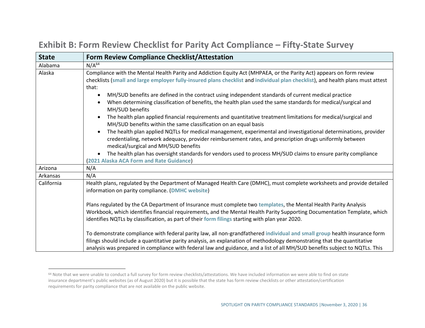| <b>State</b> | <b>Form Review Compliance Checklist/Attestation</b>                                                                                                                                                                                                                                                                                                                                                                                                                                                                                                                                                                                                                                                                                                                                                                                                                                                                                                                     |
|--------------|-------------------------------------------------------------------------------------------------------------------------------------------------------------------------------------------------------------------------------------------------------------------------------------------------------------------------------------------------------------------------------------------------------------------------------------------------------------------------------------------------------------------------------------------------------------------------------------------------------------------------------------------------------------------------------------------------------------------------------------------------------------------------------------------------------------------------------------------------------------------------------------------------------------------------------------------------------------------------|
| Alabama      | N/A <sup>64</sup>                                                                                                                                                                                                                                                                                                                                                                                                                                                                                                                                                                                                                                                                                                                                                                                                                                                                                                                                                       |
| Alaska       | Compliance with the Mental Health Parity and Addiction Equity Act (MHPAEA, or the Parity Act) appears on form review<br>checklists (small and large employer fully-insured plans checklist and individual plan checklist), and health plans must attest<br>that:<br>MH/SUD benefits are defined in the contract using independent standards of current medical practice<br>When determining classification of benefits, the health plan used the same standards for medical/surgical and<br>MH/SUD benefits<br>The health plan applied financial requirements and quantitative treatment limitations for medical/surgical and<br>MH/SUD benefits within the same classification on an equal basis<br>The health plan applied NQTLs for medical management, experimental and investigational determinations, provider<br>credentialing, network adequacy, provider reimbursement rates, and prescription drugs uniformly between<br>medical/surgical and MH/SUD benefits |
|              | The health plan has oversight standards for vendors used to process MH/SUD claims to ensure parity compliance<br>(2021 Alaska ACA Form and Rate Guidance)                                                                                                                                                                                                                                                                                                                                                                                                                                                                                                                                                                                                                                                                                                                                                                                                               |
| Arizona      | N/A                                                                                                                                                                                                                                                                                                                                                                                                                                                                                                                                                                                                                                                                                                                                                                                                                                                                                                                                                                     |
| Arkansas     | N/A                                                                                                                                                                                                                                                                                                                                                                                                                                                                                                                                                                                                                                                                                                                                                                                                                                                                                                                                                                     |
| California   | Health plans, regulated by the Department of Managed Health Care (DMHC), must complete worksheets and provide detailed<br>information on parity compliance. (DMHC website)                                                                                                                                                                                                                                                                                                                                                                                                                                                                                                                                                                                                                                                                                                                                                                                              |
|              | Plans regulated by the CA Department of Insurance must complete two templates, the Mental Health Parity Analysis<br>Workbook, which identifies financial requirements, and the Mental Health Parity Supporting Documentation Template, which<br>identifies NQTLs by classification, as part of their form filings starting with plan year 2020.                                                                                                                                                                                                                                                                                                                                                                                                                                                                                                                                                                                                                         |
|              | To demonstrate compliance with federal parity law, all non-grandfathered individual and small group health insurance form<br>filings should include a quantitative parity analysis, an explanation of methodology demonstrating that the quantitative<br>analysis was prepared in compliance with federal law and guidance, and a list of all MH/SUD benefits subject to NQTLs. This                                                                                                                                                                                                                                                                                                                                                                                                                                                                                                                                                                                    |

### **Exhibit B: Form Review Checklist for Parity Act Compliance – Fifty-State Survey**

<sup>64</sup> Note that we were unable to conduct a full survey for form review checklists/attestations. We have included information we were able to find on state insurance department's public websites (as of August 2020) but it is possible that the state has form review checklists or other attestation/certification requirements for parity compliance that are not available on the public website.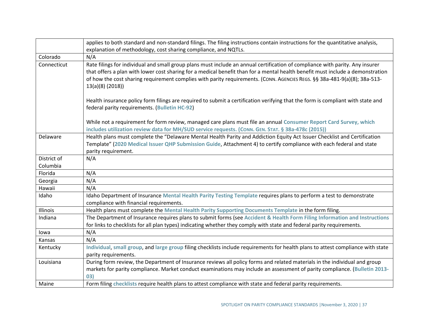|             | applies to both standard and non-standard filings. The filing instructions contain instructions for the quantitative analysis,                                                                                                                                                                                                                                                                                   |
|-------------|------------------------------------------------------------------------------------------------------------------------------------------------------------------------------------------------------------------------------------------------------------------------------------------------------------------------------------------------------------------------------------------------------------------|
|             | explanation of methodology, cost sharing compliance, and NQTLs.                                                                                                                                                                                                                                                                                                                                                  |
| Colorado    | N/A                                                                                                                                                                                                                                                                                                                                                                                                              |
| Connecticut | Rate filings for individual and small group plans must include an annual certification of compliance with parity. Any insurer<br>that offers a plan with lower cost sharing for a medical benefit than for a mental health benefit must include a demonstration<br>of how the cost sharing requirement complies with parity requirements. (CONN. AGENCIES REGS. §§ 38a-481-9(a)(8); 38a-513-<br>13(a)(8) (2018)) |
|             | Health insurance policy form filings are required to submit a certification verifying that the form is compliant with state and<br>federal parity requirements. (Bulletin HC-92)                                                                                                                                                                                                                                 |
|             | While not a requirement for form review, managed care plans must file an annual Consumer Report Card Survey, which<br>includes utilization review data for MH/SUD service requests. (CONN. GEN. STAT. § 38a-478c (2015))                                                                                                                                                                                         |
| Delaware    | Health plans must complete the "Delaware Mental Health Parity and Addiction Equity Act Issuer Checklist and Certification<br>Template" (2020 Medical Issuer QHP Submission Guide, Attachment 4) to certify compliance with each federal and state<br>parity requirement.                                                                                                                                         |
| District of | N/A                                                                                                                                                                                                                                                                                                                                                                                                              |
| Columbia    |                                                                                                                                                                                                                                                                                                                                                                                                                  |
| Florida     | N/A                                                                                                                                                                                                                                                                                                                                                                                                              |
| Georgia     | N/A                                                                                                                                                                                                                                                                                                                                                                                                              |
| Hawaii      | N/A                                                                                                                                                                                                                                                                                                                                                                                                              |
| Idaho       | Idaho Department of Insurance Mental Health Parity Testing Template requires plans to perform a test to demonstrate<br>compliance with financial requirements.                                                                                                                                                                                                                                                   |
| Illinois    | Health plans must complete the Mental Health Parity Supporting Documents Template in the form filing.                                                                                                                                                                                                                                                                                                            |
| Indiana     | The Department of Insurance requires plans to submit forms (see Accident & Health Form Filing Information and Instructions                                                                                                                                                                                                                                                                                       |
|             | for links to checklists for all plan types) indicating whether they comply with state and federal parity requirements.                                                                                                                                                                                                                                                                                           |
| lowa        | N/A                                                                                                                                                                                                                                                                                                                                                                                                              |
| Kansas      | N/A                                                                                                                                                                                                                                                                                                                                                                                                              |
| Kentucky    | Individual, small group, and large group filing checklists include requirements for health plans to attest compliance with state<br>parity requirements.                                                                                                                                                                                                                                                         |
| Louisiana   | During form review, the Department of Insurance reviews all policy forms and related materials in the individual and group<br>markets for parity compliance. Market conduct examinations may include an assessment of parity compliance. (Bulletin 2013-                                                                                                                                                         |
|             | 03)                                                                                                                                                                                                                                                                                                                                                                                                              |
| Maine       | Form filing checklists require health plans to attest compliance with state and federal parity requirements.                                                                                                                                                                                                                                                                                                     |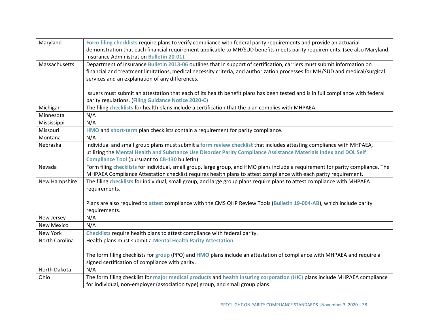| Maryland          | Form filing checklists require plans to verify compliance with federal parity requirements and provide an actuarial             |  |
|-------------------|---------------------------------------------------------------------------------------------------------------------------------|--|
|                   | demonstration that each financial requirement applicable to MH/SUD benefits meets parity requirements. (see also Maryland       |  |
|                   | Insurance Administration Bulletin 20-01).                                                                                       |  |
| Massachusetts     | Department of Insurance Bulletin 2013-06 outlines that in support of certification, carriers must submit information on         |  |
|                   | financial and treatment limitations, medical necessity criteria, and authorization processes for MH/SUD and medical/surgical    |  |
|                   | services and an explanation of any differences.                                                                                 |  |
|                   |                                                                                                                                 |  |
|                   | Issuers must submit an attestation that each of its health benefit plans has been tested and is in full compliance with federal |  |
|                   | parity regulations. (Filing Guidance Notice 2020-C)                                                                             |  |
| Michigan          | The filing checklists for health plans include a certification that the plan complies with MHPAEA.                              |  |
| Minnesota         | N/A                                                                                                                             |  |
| Mississippi       | N/A                                                                                                                             |  |
| Missouri          | HMO and short-term plan checklists contain a requirement for parity compliance.                                                 |  |
| Montana           | N/A                                                                                                                             |  |
| Nebraska          | Individual and small group plans must submit a form review checklist that includes attesting compliance with MHPAEA,            |  |
|                   | utilizing the Mental Health and Substance Use Disorder Parity Compliance Assistance Materials Index and DOL Self                |  |
|                   | <b>Compliance Tool (pursuant to CB-130 bulletin)</b>                                                                            |  |
| Nevada            | Form filing checklists for individual, small group, large group, and HMO plans include a requirement for parity compliance. The |  |
|                   | MHPAEA Compliance Attestation checklist requires health plans to attest compliance with each parity requirement.                |  |
| New Hampshire     | The filing checklists for individual, small group, and large group plans require plans to attest compliance with MHPAEA         |  |
|                   | requirements.                                                                                                                   |  |
|                   |                                                                                                                                 |  |
|                   | Plans are also required to attest compliance with the CMS QHP Review Tools (Bulletin 19-004-AB), which include parity           |  |
|                   | requirements.                                                                                                                   |  |
| New Jersey        | N/A                                                                                                                             |  |
| <b>New Mexico</b> | N/A                                                                                                                             |  |
| New York          | Checklists require health plans to attest compliance with federal parity.                                                       |  |
| North Carolina    | Health plans must submit a Mental Health Parity Attestation.                                                                    |  |
|                   |                                                                                                                                 |  |
|                   | The form filing checklists for group (PPO) and HMO plans include an attestation of compliance with MHPAEA and require a         |  |
|                   | signed certification of compliance with parity.                                                                                 |  |
| North Dakota      | N/A                                                                                                                             |  |
| Ohio              | The form filing checklist for major medical products and health insuring corporation (HIC) plans include MHPAEA compliance      |  |
|                   | for individual, non-employer (association type) group, and small group plans.                                                   |  |